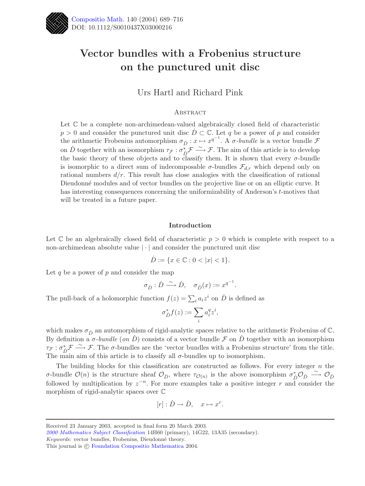

# **Vector bundles with a Frobenius structure on the punctured unit disc**

Urs Hartl and Richard Pink

## **ABSTRACT**

Let  $\mathbb C$  be a complete non-archimedean-valued algebraically closed field of characteristic  $p > 0$  and consider the punctured unit disc  $D \subset \mathbb{C}$ . Let q be a power of p and consider the arithmetic Frobenius automorphism  $\sigma_{\dot{D}} : x \mapsto x^{q^{-1}}$ . A  $\sigma$ -bundle is a vector bundle F on  $\dot{D}$  together with an isomorphism  $\tau_{\mathcal{F}}: \sigma_{\dot{D}}^* \mathcal{F} \longrightarrow \mathcal{F}$ . The aim of this article is to develop the basic theory of these objects and to classify them. It is shown that every  $\sigma$ -bundle is isomorphic to a direct sum of indecomposable  $\sigma$ -bundles  $\mathcal{F}_{d,r}$  which depend only on rational numbers  $d/r$ . This result has close analogies with the classification of rational Dieudonné modules and of vector bundles on the projective line or on an elliptic curve. It has interesting consequences concerning the uniformizability of Anderson's t-motives that will be treated in a future paper.

## **Introduction**

Let  $\mathbb C$  be an algebraically closed field of characteristic  $p > 0$  which is complete with respect to a non-archimedean absolute value |·| and consider the punctured unit disc

$$
\dot{D} := \{ x \in \mathbb{C} : 0 < |x| < 1 \}.
$$

Let q be a power of  $p$  and consider the map

$$
\sigma_{\dot{D}} : \dot{D} \xrightarrow{\sim} \dot{D}, \quad \sigma_{\dot{D}}(x) := x^{q^{-1}}.
$$

The pull-back of a holomorphic function  $f(z) = \sum_i a_i z^i$  on  $\dot{D}$  is defined as

$$
\sigma^*_{\dot{D}}f(z):=\sum_i a_i^q z^i,
$$

which makes  $\sigma_{\dot{D}}$  an automorphism of rigid-analytic spaces relative to the arithmetic Frobenius of C. By definition a  $\sigma$ -bundle (on  $\dot{D}$ ) consists of a vector bundle  $\mathcal F$  on  $\dot{D}$  together with an isomorphism  $\tau_{\mathcal{F}}: \sigma_{\mathcal{D}}^* \mathcal{F} \longrightarrow \mathcal{F}$ . The  $\sigma$ -bundles are the 'vector bundles with a Frobenius structure' from the title. The main aim of this article is to classify all  $\sigma$ -bundles up to isomorphism.

The building blocks for this classification are constructed as follows. For every integer  $n$  the σ-bundle  $\mathcal{O}(n)$  is the structure sheaf  $\mathcal{O}_{\dot{D}}$ , where  $\tau_{\mathcal{O}(n)}$  is the above isomorphism  $\sigma_D^* \mathcal{O}_{\dot{D}} \stackrel{\sim}{\longrightarrow} \mathcal{O}_{\dot{D}}$ followed by multiplication by  $z^{-n}$ . For more examples take a positive integer r and consider the morphism of rigid-analytic spaces over C

$$
[r]: \dot{D} \to \dot{D}, \quad x \mapsto x^r.
$$

*Keywords:* vector bundles, Frobenius, Dieudonné theory.

Received 23 January 2003, accepted in final form 20 March 2003.

*[<sup>2000</sup> Mathematics Subject Classification](http://www.ams.org/msc/)* 14H60 (primary), 14G22, 13A35 (secondary).

This journal is  $\odot$  [Foundation Compositio Mathematica](http://www.compositio.nl) 2004.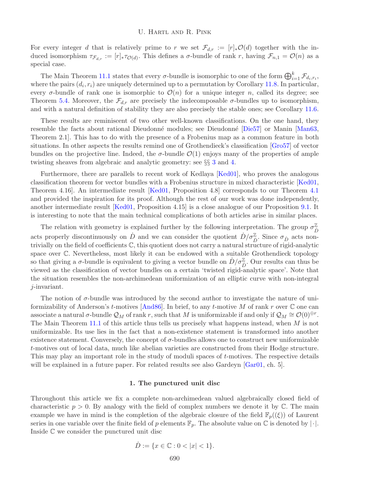# U. Hartl and R. Pink

For every integer d that is relatively prime to r we set  $\mathcal{F}_{d,r} := [r]_* \mathcal{O}(d)$  together with the induced isomorphism  $\tau_{\mathcal{F}_{d,r}} := [r]_* \tau_{\mathcal{O}(d)}$ . This defines a  $\sigma$ -bundle of rank r, having  $\mathcal{F}_{n,1} = \mathcal{O}(n)$  as a special case.

The Main Theorem [11.1](#page-24-0) states that every  $\sigma$ -bundle is isomorphic to one of the form  $\bigoplus_{i=1}^k \mathcal{F}_{d_i,r_i}$ , where the pairs  $(d_i, r_i)$  are uniquely determined up to a permutation by Corollary [11.8.](#page-26-0) In particular, every  $\sigma$ -bundle of rank one is isomorphic to  $\mathcal{O}(n)$  for a unique integer n, called its degree; see Theorem [5.4.](#page-11-0) Moreover, the  $\mathcal{F}_{d,r}$  are precisely the indecomposable  $\sigma$ -bundles up to isomorphism, and with a natural definition of stability they are also precisely the stable ones; see Corollary [11.6.](#page-25-0)

These results are reminiscent of two other well-known classifications. On the one hand, they resemble the facts about rational Dieudonné modules; see Dieudonné [\[Die57\]](#page-26-1) or Manin [\[Man63,](#page-26-2) Theorem 2.1]. This has to do with the presence of a Frobenius map as a common feature in both situations. In other aspects the results remind one of Grothendieck's classification [\[Gro57\]](#page-26-3) of vector bundles on the projective line. Indeed, the  $\sigma$ -bundle  $\mathcal{O}(1)$  enjoys many of the properties of ample twisting sheaves from algebraic and analytic geometry: see §§ [3](#page-4-0) and [4.](#page-7-0)

Furthermore, there are parallels to recent work of Kedlaya [\[Ked01\]](#page-26-4), who proves the analogous classification theorem for vector bundles with a Frobenius structure in mixed characteristic [\[Ked01,](#page-26-4) Theorem 4.16]. An intermediate result [\[Ked01,](#page-26-4) Proposition 4.8] corresponds to our Theorem [4.1](#page-7-1) and provided the inspiration for its proof. Although the rest of our work was done independently, another intermediate result [\[Ked01,](#page-26-4) Proposition 4.15] is a close analogue of our Proposition [9.1.](#page-16-0) It is interesting to note that the main technical complications of both articles arise in similar places.

The relation with geometry is explained further by the following interpretation. The group  $\sigma_{\vec{D}}^{\mathbb{Z}}$ acts properly discontinuously on  $\dot{D}$  and we can consider the quotient  $\dot{D}/\sigma_{\dot{D}}^{\mathbb{Z}}$ . Since  $\sigma_{\dot{D}}$  acts nontrivially on the field of coefficients C, this quotient does not carry a natural structure of rigid-analytic space over C. Nevertheless, most likely it can be endowed with a suitable Grothendieck topology so that giving a  $\sigma$ -bundle is equivalent to giving a vector bundle on  $\dot{D}/\sigma_{\dot{D}}^{\mathbb{Z}}$ . Our results can thus be viewed as the classification of vector bundles on a certain 'twisted rigid-analytic space'. Note that the situation resembles the non-archimedean uniformization of an elliptic curve with non-integral j-invariant.

The notion of  $\sigma$ -bundle was introduced by the second author to investigate the nature of uniformizability of Anderson's t-motives  $[And 86]$ . In brief, to any t-motive M of rank r over  $\mathbb C$  one can associate a natural  $\sigma$ -bundle  $\mathcal{Q}_M$  of rank r, such that M is uniformizable if and only if  $\mathcal{Q}_M \cong \mathcal{O}(0)^{\oplus r}$ . The Main Theorem [11.1](#page-24-0) of this article thus tells us precisely what happens instead, when M is not uniformizable. Its use lies in the fact that a non-existence statement is transformed into another existence statement. Conversely, the concept of  $\sigma$ -bundles allows one to construct new uniformizable t-motives out of local data, much like abelian varieties are constructed from their Hodge structure. This may play an important role in the study of moduli spaces of t-motives. The respective details will be explained in a future paper. For related results see also Gardeyn [\[Gar01,](#page-26-6) ch. 5].

## **1. The punctured unit disc**

Throughout this article we fix a complete non-archimedean valued algebraically closed field of characteristic  $p > 0$ . By analogy with the field of complex numbers we denote it by  $\mathbb{C}$ . The main example we have in mind is the completion of the algebraic closure of the field  $\mathbb{F}_p((\xi))$  of Laurent series in one variable over the finite field of p elements  $\mathbb{F}_p$ . The absolute value on  $\mathbb{C}$  is denoted by  $|\cdot|$ . Inside C we consider the punctured unit disc

$$
\dot{D} := \{ x \in \mathbb{C} : 0 < |x| < 1 \}.
$$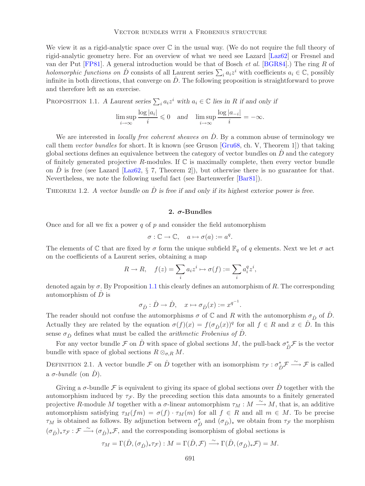#### Vector bundles with a Frobenius structure

We view it as a rigid-analytic space over  $\mathbb C$  in the usual way. (We do not require the full theory of rigid-analytic geometry here. For an overview of what we need see Lazard [\[Laz62\]](#page-26-7) or Fresnel and van der Put [\[FP81\]](#page-26-8). A general introduction would be that of Bosch *et al.* [\[BGR84\]](#page-26-9).) The ring R of *holomorphic functions on*  $\dot{D}$  consists of all Laurent series  $\sum_i a_i z^i$  with coefficients  $a_i \in \mathbb{C}$ , possibly infinite in both directions, that converge on  $D$ . The following proposition is straightforward to prove and therefore left as an exercise.

<span id="page-2-0"></span>PROPOSITION 1.1. *A Laurent series*  $\sum_i a_i z^i$  with  $a_i \in \mathbb{C}$  *lies in* R if and only if

$$
\limsup_{i \to \infty} \frac{\log |a_i|}{i} \leq 0 \quad \text{and} \quad \limsup_{i \to \infty} \frac{\log |a_{-i}|}{i} = -\infty.
$$

We are interested in *locally free coherent sheaves on* D. By a common abuse of terminology we call them *vector bundles* for short. It is known (see Gruson [\[Gru68,](#page-26-10) ch. V, Theorem 1]) that taking global sections defines an equivalence between the category of vector bundles on  $\ddot{D}$  and the category of finitely generated projective  $R$ -modules. If  $\mathbb C$  is maximally complete, then every vector bundle on  $\ddot{D}$  is free (see Lazard [\[Laz62,](#page-26-7) § 7, Theorem 2]), but otherwise there is no guarantee for that. Nevertheless, we note the following useful fact (see Bartenwerfer [\[Bar81\]](#page-26-11)).

<span id="page-2-1"></span>THEOREM 1.2. A vector bundle on  $\dot{D}$  is free if and only if its highest exterior power is free.

# **2.** *σ***-Bundles**

Once and for all we fix a power q of p and consider the field automorphism

$$
\sigma: \mathbb{C} \to \mathbb{C}, \quad a \mapsto \sigma(a) := a^q.
$$

The elements of C that are fixed by  $\sigma$  form the unique subfield  $\mathbb{F}_q$  of q elements. Next we let  $\sigma$  act on the coefficients of a Laurent series, obtaining a map

$$
R \to R, \quad f(z) = \sum_i a_i z^i \mapsto \sigma(f) := \sum_i a_i^q z^i,
$$

denoted again by  $\sigma$ . By Proposition [1.1](#page-2-0) this clearly defines an automorphism of R. The corresponding automorphism of  $\dot{D}$  is

$$
\sigma_{\dot{D}} : \dot{D} \to \dot{D}, \quad x \mapsto \sigma_{\dot{D}}(x) := x^{q^{-1}}.
$$

The reader should not confuse the automorphisms  $\sigma$  of  $\mathbb C$  and R with the automorphism  $\sigma_{\dot{D}}$  of  $\dot{D}$ . Actually they are related by the equation  $\sigma(f)(x) = f(\sigma_{\dot{D}}(x))^q$  for all  $f \in R$  and  $x \in D$ . In this sense  $\sigma_{\dot{D}}$  defines what must be called the *arithmetic Frobenius of*  $\dot{D}$ .

For any vector bundle  $\mathcal F$  on  $\dot D$  with space of global sections  $M$ , the pull-back  $\sigma^*_{\dot D}\mathcal F$  is the vector bundle with space of global sections  $R \otimes_{\sigma,R} M$ .

DEFINITION 2.1. A vector bundle F on  $\dot{D}$  together with an isomorphism  $\tau_{\mathcal{F}}: \sigma_{\dot{D}}^* \mathcal{F} \xrightarrow{\sim} \mathcal{F}$  is called a  $\sigma$ -*bundle* (on  $\dot{D}$ ).

Giving a  $\sigma$ -bundle F is equivalent to giving its space of global sections over D together with the automorphism induced by  $\tau_{\mathcal{F}}$ . By the preceding section this data amounts to a finitely generated projective R-module M together with a  $\sigma$ -linear automorphism  $\tau_M : M \longrightarrow M$ , that is, an additive automorphism satisfying  $\tau_M(fm) = \sigma(f) \cdot \tau_M(m)$  for all  $f \in R$  and all  $m \in M$ . To be precise  $\tau_M$  is obtained as follows. By adjunction between  $\sigma_D^*$  and  $(\sigma_D)_*$  we obtain from  $\tau_F$  the morphism  $(\sigma_{\dot{D}})_*\tau_{\mathcal{F}} : \mathcal{F} \longrightarrow (\sigma_{\dot{D}})_*\mathcal{F}$ , and the corresponding isomorphism of global sections is

$$
\tau_M = \Gamma(\dot{D}, (\sigma_{\dot{D}})_*\tau_{\mathcal{F}}) : M = \Gamma(\dot{D}, \mathcal{F}) \stackrel{\sim}{\longrightarrow} \Gamma(\dot{D}, (\sigma_{\dot{D}})_*\mathcal{F}) = M.
$$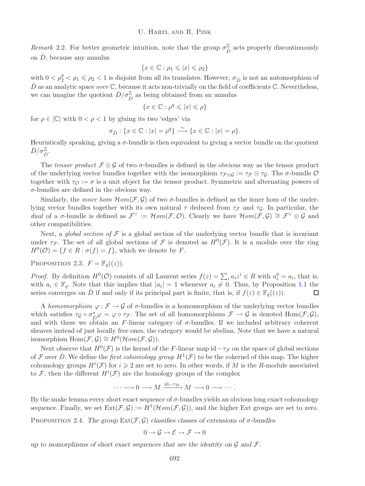*Remark* 2.2. For better geometric intuition, note that the group  $\sigma_{\vec{D}}^{\mathbb{Z}}$  acts properly discontinuously on  $\dot{D}$ , because any annulus

$$
\{x \in \mathbb{C} : \rho_1 \leqslant |x| \leqslant \rho_2\}
$$

with  $0 < \rho_2^q < \rho_1 \leq \rho_2 < 1$  is disjoint from all its translates. However,  $\sigma_{\dot{D}}$  is not an automorphism of  $\dot{D}$  as an analytic space *over*  $\mathbb{C}$ , because it acts non-trivially on the field of coefficients  $\mathbb{C}$ . Nevertheless, we can imagine the quotient  $\dot{D}/\sigma_{\dot{D}}^{\mathbb{Z}}$  as being obtained from an annulus

$$
\{x\in\mathbb{C}:\rho^q\leqslant|x|\leqslant\rho\}
$$

for  $\rho \in |\mathbb{C}|$  with  $0 < \rho < 1$  by gluing its two 'edges' via

$$
\sigma_{\dot{D}} : \{ x \in \mathbb{C} : |x| = \rho^q \} \xrightarrow{\sim} \{ x \in \mathbb{C} : |x| = \rho \}.
$$

Heuristically speaking, giving a  $\sigma$ -bundle is then equivalent to giving a vector bundle on the quotient  $\dot{D}/\sigma_{\dot{D}}^{\mathbb{Z}}$ .

The *tensor product*  $\mathcal{F} \otimes \mathcal{G}$  of two  $\sigma$ -bundles is defined in the obvious way as the tensor product of the underlying vector bundles together with the isomorphism  $\tau_{F\otimes G} := \tau_F \otimes \tau_G$ . The  $\sigma$ -bundle  $\mathcal O$ together with  $\tau_{\mathcal{O}} := \sigma$  is a unit object for the tensor product. Symmetric and alternating powers of  $\sigma$ -bundles are defined in the obvious way.

Similarly, the *inner hom*  $\mathcal{H}$ *om*( $\mathcal{F}, \mathcal{G}$ ) of two  $\sigma$ -bundles is defined as the inner hom of the underlying vector bundles together with its own natural  $\tau$  deduced from  $\tau_{\mathcal{F}}$  and  $\tau_{\mathcal{G}}$ . In particular, the *dual* of a  $\sigma$ -bundle is defined as  $\mathcal{F}^{\vee} := \mathcal{H}om(\mathcal{F}, \mathcal{O})$ . Clearly we have  $\mathcal{H}om(\mathcal{F}, \mathcal{G}) \cong \mathcal{F}^{\vee} \otimes \mathcal{G}$  and other compatibilities.

Next, a *global section of*  $F$  is a global section of the underlying vector bundle that is invariant under  $\tau_{\mathcal{F}}$ . The set of all global sections of  $\mathcal F$  is denoted as  $H^0(\mathcal{F})$ . It is a module over the ring  $H^0(\mathcal{O}) = \{f \in \mathbb{R} : \sigma(f) = f\}$ , which we denote by F.

<span id="page-3-0"></span>PROPOSITION 2.3.  $F = \mathbb{F}_q((z))$ .

*Proof.* By definition  $H^0(\mathcal{O})$  consists of all Laurent series  $f(z) = \sum_i a_i z^i \in R$  with  $a_i^q = a_i$ , that is, with  $a_i \in \mathbb{F}_q$ . Note that this implies that  $|a_i| = 1$  whenever  $a_i \neq 0$ . Thus, by Proposition [1.1](#page-2-0) the series converges on D if and only if its principal part is finite, that is, if  $f(z) \in \mathbb{F}_q((z))$ .  $\Box$ 

A *homomorphism*  $\varphi : \mathcal{F} \to \mathcal{G}$  of  $\sigma$ -bundles is a homomorphism of the underlying vector bundles which satisfies  $\tau_{\mathcal{G}} \circ \sigma_{\mathcal{D}}^* \varphi = \varphi \circ \tau_{\mathcal{F}}$ . The set of all homomorphisms  $\mathcal{F} \to \mathcal{G}$  is denoted  $\text{Hom}(\mathcal{F}, \mathcal{G})$ , and with these we obtain an F-linear category of  $\sigma$ -bundles. If we included arbitrary coherent sheaves instead of just locally free ones, the category would be abelian. Note that we have a natural isomorphism Hom $(\mathcal{F}, \mathcal{G}) \cong H^0(\mathcal{H}om(\mathcal{F}, \mathcal{G})).$ 

Next observe that  $H^0(\mathcal{F})$  is the kernel of the F-linear map id $-\tau_{\mathcal{F}}$  on the space of global sections of F over D. We define the *first cohomology group*  $H^1(\mathcal{F})$  to be the cokernel of this map. The higher cohomology groups  $H^i(\mathcal{F})$  for  $i \geq 2$  are set to zero. In other words, if M is the R-module associated to F, then the different  $H^i(\mathcal{F})$  are the homology groups of the complex

$$
\cdots \longrightarrow 0 \longrightarrow M \xrightarrow{\mathrm{id}-\tau_M} M \longrightarrow 0 \longrightarrow \cdots.
$$

By the snake lemma every short exact sequence of  $\sigma$ -bundles yields an obvious long exact cohomology sequence. Finally, we set  $\text{Ext}(\mathcal{F}, \mathcal{G}) := H^1(\mathcal{H}om(\mathcal{F}, \mathcal{G}))$ , and the higher Ext groups are set to zero.

PROPOSITION 2.4. *The group*  $Ext(\mathcal{F}, \mathcal{G})$  *classifies classes of extensions of*  $\sigma$ *-bundles* 

$$
0 \to \mathcal{G} \to \mathcal{E} \to \mathcal{F} \to 0
$$

*up to isomorphisms of short exact sequences that are the identity on* G *and* F*.*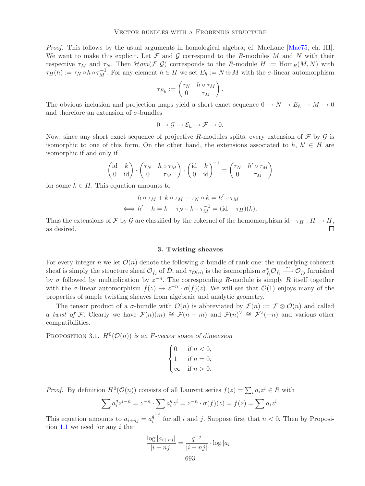*Proof.* This follows by the usual arguments in homological algebra; cf. MacLane [\[Mac75,](#page-26-12) ch. III]. We want to make this explicit. Let  $\mathcal F$  and  $\mathcal G$  correspond to the R-modules M and N with their respective  $\tau_M$  and  $\tau_N$ . Then  $\mathcal{H}om(\mathcal{F}, \mathcal{G})$  corresponds to the R-module  $H := \text{Hom}_R(M, N)$  with  $\tau_H(h) := \tau_N \circ h \circ \tau_M^{-1}$ . For any element  $h \in H$  we set  $E_h := N \oplus M$  with the  $\sigma$ -linear automorphism

$$
\tau_{E_h} := \begin{pmatrix} \tau_N & h \circ \tau_M \\ 0 & \tau_M \end{pmatrix}.
$$

The obvious inclusion and projection maps yield a short exact sequence  $0 \to N \to E_h \to M \to 0$ and therefore an extension of  $\sigma$ -bundles

$$
0 \to \mathcal{G} \to \mathcal{E}_h \to \mathcal{F} \to 0.
$$

Now, since any short exact sequence of projective R-modules splits, every extension of  $\mathcal F$  by  $\mathcal G$  is isomorphic to one of this form. On the other hand, the extensions associated to h,  $h' \in H$  are isomorphic if and only if

$$
\begin{pmatrix} \mathrm{id} & k \\ 0 & \mathrm{id} \end{pmatrix} \cdot \begin{pmatrix} \tau_N & h\circ \tau_M \\ 0 & \tau_M \end{pmatrix} \cdot \begin{pmatrix} \mathrm{id} & k \\ 0 & \mathrm{id} \end{pmatrix}^{-1} = \begin{pmatrix} \tau_N & h'\circ \tau_M \\ 0 & \tau_M \end{pmatrix}
$$

for some  $k \in H$ . This equation amounts to

$$
h \circ \tau_M + k \circ \tau_M - \tau_N \circ k = h' \circ \tau_M
$$
  

$$
\iff h' - h = k - \tau_N \circ k \circ \tau_M^{-1} = (\text{id} - \tau_H)(k).
$$

<span id="page-4-0"></span>Thus the extensions of F by G are classified by the cokernel of the homomorphism id $-\tau_H : H \to H$ , as desired. П

## **3. Twisting sheaves**

For every integer n we let  $\mathcal{O}(n)$  denote the following  $\sigma$ -bundle of rank one: the underlying coherent sheaf is simply the structure sheaf  $\mathcal{O}_{\dot{D}}$  of  $\dot{D}$ , and  $\tau_{\mathcal{O}(n)}$  is the isomorphism  $\sigma_{\dot{D}}^*\mathcal{O}_{\dot{D}} \xrightarrow{\sim} \mathcal{O}_{\dot{D}}$  furnished by  $\sigma$  followed by multiplication by  $z^{-n}$ . The corresponding R-module is simply R itself together with the  $\sigma$ -linear automorphism  $f(z) \mapsto z^{-n} \cdot \sigma(f)(z)$ . We will see that  $\mathcal{O}(1)$  enjoys many of the properties of ample twisting sheaves from algebraic and analytic geometry.

The tensor product of a  $\sigma$ -bundle with  $\mathcal{O}(n)$  is abbreviated by  $\mathcal{F}(n) := \mathcal{F} \otimes \mathcal{O}(n)$  and called a *twist of* F. Clearly we have  $\mathcal{F}(n)(m) \cong \mathcal{F}(n + m)$  and  $\mathcal{F}(n)^{\vee} \cong \mathcal{F}^{\vee}(-n)$  and various other compatibilities.

<span id="page-4-1"></span>PROPOSITION 3.1.  $H^0(\mathcal{O}(n))$  *is an F*-vector space of dimension

$$
\begin{cases}\n0 & \text{if } n < 0, \\
1 & \text{if } n = 0, \\
\infty & \text{if } n > 0.\n\end{cases}
$$

*Proof.* By definition  $H^0(\mathcal{O}(n))$  consists of all Laurent series  $f(z) = \sum_i a_i z^i \in R$  with

$$
\sum a_i^q z^{i-n} = z^{-n} \cdot \sum a_i^q z^i = z^{-n} \cdot \sigma(f)(z) = f(z) = \sum a_i z^i.
$$

This equation amounts to  $a_{i+nj} = a_i^{q^{-j}}$  for all i and j. Suppose first that  $n < 0$ . Then by Proposition  $1.1$  we need for any i that

$$
\frac{\log |a_{i+nj}|}{|i+nj|} = \frac{q^{-j}}{|i+nj|} \cdot \log |a_i|
$$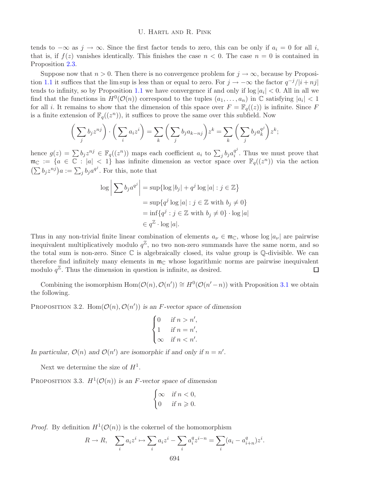## U. Hartl and R. Pink

tends to  $-\infty$  as  $j \to \infty$ . Since the first factor tends to zero, this can be only if  $a_i = 0$  for all i, that is, if  $f(z)$  vanishes identically. This finishes the case  $n < 0$ . The case  $n = 0$  is contained in Proposition [2.3.](#page-3-0)

Suppose now that  $n > 0$ . Then there is no convergence problem for  $j \to \infty$ , because by Proposi-tion [1.1](#page-2-0) it suffices that the lim sup is less than or equal to zero. For  $j \to -\infty$  the factor  $q^{-j}/|i + nj|$ tends to infinity, so by Proposition [1.1](#page-2-0) we have convergence if and only if  $\log |a_i| < 0$ . All in all we find that the functions in  $H^0(\mathcal{O}(n))$  correspond to the tuples  $(a_1,\ldots,a_n)$  in  $\mathbb C$  satisfying  $|a_i| < 1$ for all *i*. It remains to show that the dimension of this space over  $F = \mathbb{F}_q((z))$  is infinite. Since F is a finite extension of  $\mathbb{F}_q((z^n))$ , it suffices to prove the same over this subfield. Now

$$
\left(\sum_j b_j z^{nj}\right) \cdot \left(\sum_i a_i z^i\right) = \sum_k \left(\sum_j b_j a_{k-nj}\right) z^k = \sum_k \left(\sum_j b_j a_k^{q^j}\right) z^k;
$$

hence  $g(z) = \sum b_j z^{nj} \in \mathbb{F}_q((z^n))$  maps each coefficient  $a_i$  to  $\sum_j b_j a_i^{q^j}$ . Thus we must prove that  $m_{\mathbb{C}} := \{a \in \mathbb{C} : |a| < 1\}$  has infinite dimension as vector space over  $\mathbb{F}_q((z^n))$  via the action  $(\sum b_j z^{nj}) a := \sum_j b_j a^{q^j}$ . For this, note that

$$
\log \left| \sum b_j a^{q^j} \right| = \sup \{ \log |b_j| + q^j \log |a| : j \in \mathbb{Z} \}
$$
  
= 
$$
\sup \{ q^j \log |a| : j \in \mathbb{Z} \text{ with } b_j \neq 0 \}
$$
  
= 
$$
\inf \{ q^j : j \in \mathbb{Z} \text{ with } b_j \neq 0 \} \cdot \log |a|
$$
  

$$
\in q^{\mathbb{Z}} \cdot \log |a|.
$$

Thus in any non-trivial finite linear combination of elements  $a_{\nu} \in \mathfrak{m}_{\mathbb{C}}$ , whose  $\log |a_{\nu}|$  are pairwise inequivalent multiplicatively modulo  $q^{\mathbb{Z}}$ , no two non-zero summands have the same norm, and so the total sum is non-zero. Since  $\mathbb C$  is algebraically closed, its value group is  $\mathbb Q$ -divisible. We can therefore find infinitely many elements in  $m_{\mathbb{C}}$  whose logarithmic norms are pairwise inequivalent modulo  $q^{\mathbb{Z}}$ . Thus the dimension in question is infinite, as desired.  $\Box$ 

<span id="page-5-1"></span>Combining the isomorphism Hom $(\mathcal{O}(n), \mathcal{O}(n')) \cong H^0(\mathcal{O}(n' - n))$  with Proposition [3.1](#page-4-1) we obtain the following.

PROPOSITION 3.2.  $Hom(\mathcal{O}(n), \mathcal{O}(n'))$  *is an F-vector space of dimension* 

$$
\begin{cases}\n0 & \text{if } n > n', \\
1 & \text{if } n = n', \\
\infty & \text{if } n < n'.\n\end{cases}
$$

In particular,  $\mathcal{O}(n)$  and  $\mathcal{O}(n')$  are isomorphic if and only if  $n = n'$ .

Next we determine the size of  $H^1$ .

<span id="page-5-0"></span>PROPOSITION 3.3.  $H^1(\mathcal{O}(n))$  *is an F-vector space of dimension* 

$$
\begin{cases} \infty & \text{if } n < 0, \\ 0 & \text{if } n \geqslant 0. \end{cases}
$$

*Proof.* By definition  $H^1(\mathcal{O}(n))$  is the cokernel of the homomorphism

$$
R \to R, \quad \sum_i a_i z^i \mapsto \sum_i a_i z^i - \sum_i a_i^q z^{i-n} = \sum_i (a_i - a_{i+n}^q) z^i.
$$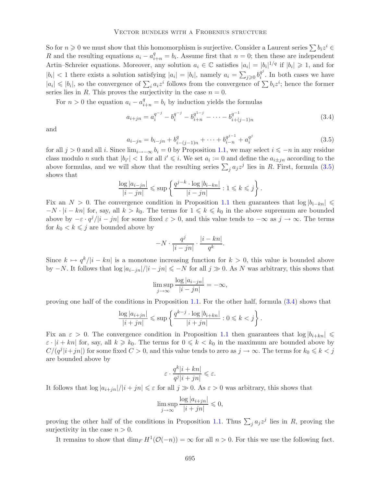So for  $n \geq 0$  we must show that this homomorphism is surjective. Consider a Laurent series  $\sum b_i z^i \in$ R and the resulting equations  $a_i - a_{i+n}^q = b_i$ . Assume first that  $n = 0$ ; then these are independent Artin–Schreier equations. Moreover, any solution  $a_i \in \mathbb{C}$  satisfies  $|a_i| = |b_i|^{1/q}$  if  $|b_i| \geq 1$ , and for  $|b_i| < 1$  there exists a solution satisfying  $|a_i| = |b_i|$ , namely  $a_i = \sum_{j\geqslant 0} b_i^{q^j}$ . In both cases we have  $|a_i| \leqslant |b_i|$ , so the convergence of  $\sum_i a_i z^i$  follows from the convergence of  $\sum_i b_i z^i$ ; hence the former series lies in R. This proves the surjectivity in the case  $n = 0$ .

For  $n > 0$  the equation  $a_i - a_{i+n}^q = b_i$  by induction yields the formulas

<span id="page-6-1"></span>
$$
a_{i+jn} = a_i^{q^{-j}} - b_i^{q^{-j}} - b_{i+n}^{q^{1-j}} - \dots - b_{i+(j-1)n}^{q^{-1}}
$$
\n(3.4)

<span id="page-6-0"></span>and

$$
a_{i-jn} = b_{i-jn} + b_{i-(j-1)n}^q + \dots + b_{i-n}^{q^{j-1}} + a_i^{q^j}
$$
\n(3.5)

for all  $j > 0$  and all i. Since  $\lim_{i\to-\infty} b_i = 0$  by Proposition [1.1,](#page-2-0) we may select  $i \leq -n$  in any residue class modulo n such that  $|b_{i'}| < 1$  for all  $i' \leq i$ . We set  $a_i := 0$  and define the  $a_{i \pm jn}$  according to the above formulas, and we will show that the resulting series  $\sum_i a_j z^j$  lies in R. First, formula [\(3.5\)](#page-6-0) shows that

$$
\frac{\log |a_{i-jn}|}{|i-jn|} \leqslant \sup \left\{ \frac{q^{j-k} \cdot \log |b_{i-kn}|}{|i-jn|} : 1 \leqslant k \leqslant j \right\}.
$$

Fix an  $N > 0$ . The convergence condition in Proposition [1.1](#page-2-0) then guarantees that  $\log |b_{i-kn}| \leq$  $-N \cdot |i - kn|$  for, say, all  $k > k_0$ . The terms for  $1 \leq k \leq k_0$  in the above supremum are bounded above by  $-\varepsilon \cdot q^j/|i - jn|$  for some fixed  $\varepsilon > 0$ , and this value tends to  $-\infty$  as  $j \to \infty$ . The terms for  $k_0 < k \leq j$  are bounded above by

$$
-N\cdot\frac{q^j}{|i-jn|}\cdot\frac{|i-kn|}{q^k}.
$$

Since  $k \mapsto q^k/|i - kn|$  is a monotone increasing function for  $k > 0$ , this value is bounded above by  $-N$ . It follows that  $\log |a_{i-jn}|/|i-jn| \leq N$  for all  $j \gg 0$ . As N was arbitrary, this shows that

$$
\limsup_{j \to \infty} \frac{\log |a_{i-jn}|}{|i - jn|} = -\infty,
$$

proving one half of the conditions in Proposition [1.1.](#page-2-0) For the other half, formula [\(3.4\)](#page-6-1) shows that

$$
\frac{\log |a_{i+jn}|}{|i+jn|} \leqslant \sup \left\{ \frac{q^{k-j} \cdot \log |b_{i+kn}|}{|i+jn|} : 0 \leqslant k < j \right\}.
$$

Fix an  $\varepsilon > 0$ . The convergence condition in Proposition [1.1](#page-2-0) then guarantees that  $\log |b_{i+kn}| \le$  $\varepsilon \cdot |i + kn|$  for, say, all  $k \geq k_0$ . The terms for  $0 \leq k \leq k_0$  in the maximum are bounded above by  $C/(q^j|i+jn|)$  for some fixed  $C > 0$ , and this value tends to zero as  $j \to \infty$ . The terms for  $k_0 \leq k < j$ are bounded above by

$$
\varepsilon \cdot \frac{q^k|i+kn|}{q^j|i+jn|} \leqslant \varepsilon.
$$

It follows that  $\log |a_{i+jn}|/|i+jn| \leq \varepsilon$  for all  $j \gg 0$ . As  $\varepsilon > 0$  was arbitrary, this shows that

$$
\limsup_{j \to \infty} \frac{\log |a_{i+jn}|}{|i+jn|} \leq 0,
$$

<span id="page-6-2"></span>proving the other half of the conditions in Proposition [1.1.](#page-2-0) Thus  $\sum_i a_j z^j$  lies in R, proving the surjectivity in the case  $n > 0$ .

It remains to show that  $\dim_F H^1(\mathcal{O}(-n)) = \infty$  for all  $n > 0$ . For this we use the following fact.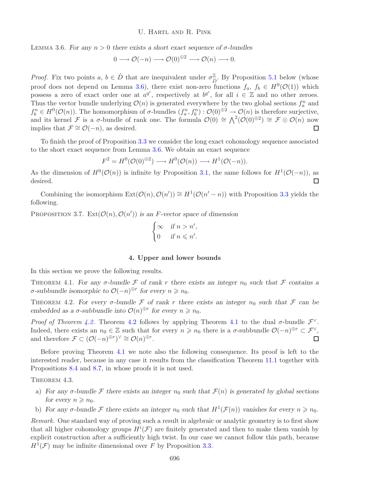LEMMA 3.6. *For any*  $n > 0$  *there exists a short exact sequence of*  $\sigma$ -bundles

$$
0 \longrightarrow \mathcal{O}(-n) \longrightarrow \mathcal{O}(0)^{\oplus 2} \longrightarrow \mathcal{O}(n) \longrightarrow 0.
$$

*Proof.* Fix two points  $a, b \in \dot{D}$  that are inequivalent under  $\sigma_{\dot{D}}^{\mathbb{Z}}$ . By Proposition [5.1](#page-10-0) below (whose proof does not depend on Lemma [3.6\)](#page-6-2), there exist non-zero functions  $f_a, f_b \in H^0(\mathcal{O}(1))$  which possess a zero of exact order one at  $a^{q_i}$ , respectively at  $b^{q_i}$ , for all  $i \in \mathbb{Z}$  and no other zeroes. Thus the vector bundle underlying  $\mathcal{O}(n)$  is generated everywhere by the two global sections  $f_a^n$  and  $f_h^n \in H^0(\mathcal{O}(n))$ . The homomorphism of  $\sigma$ -bundles  $(f_a^n, f_b^n) : \mathcal{O}(0)^{\oplus 2} \to \mathcal{O}(n)$  is therefore surjective, and its kernel F is a  $\sigma$ -bundle of rank one. The formula  $\mathcal{O}(0) \cong \bigwedge^2(\mathcal{O}(0)^{\oplus 2}) \cong \mathcal{F} \otimes \mathcal{O}(n)$  now implies that  $\mathcal{F} \cong \mathcal{O}(-n)$ , as desired.  $\Box$ 

To finish the proof of Proposition [3.3](#page-5-0) we consider the long exact cohomology sequence associated to the short exact sequence from Lemma [3.6.](#page-6-2) We obtain an exact sequence

$$
F^2 = H^0(\mathcal{O}(0)^{\oplus 2}) \longrightarrow H^0(\mathcal{O}(n)) \longrightarrow H^1(\mathcal{O}(-n)).
$$

As the dimension of  $H^0(\mathcal{O}(n))$  is infinite by Proposition [3.1,](#page-4-1) the same follows for  $H^1(\mathcal{O}(-n))$ , as desired.  $\Box$ 

Combining the isomorphism  $\text{Ext}(\mathcal{O}(n), \mathcal{O}(n')) \cong H^1(\mathcal{O}(n' - n))$  with Proposition [3.3](#page-5-0) yields the following.

PROPOSITION 3.7.  $Ext(\mathcal{O}(n), \mathcal{O}(n'))$  *is an F*-vector space of dimension

$$
\begin{cases} \infty & \text{if } n > n', \\ 0 & \text{if } n \leq n'. \end{cases}
$$

#### **4. Upper and lower bounds**

<span id="page-7-1"></span><span id="page-7-0"></span>In this section we prove the following results.

THEOREM 4.1. For any  $\sigma$ -bundle  $\mathcal F$  of rank r there exists an integer  $n_0$  such that  $\mathcal F$  contains a  $\sigma$ -subbundle isomorphic to  $\mathcal{O}(-n)^{\oplus r}$  for every  $n \geq n_0$ .

<span id="page-7-2"></span>THEOREM 4.2. *For every*  $\sigma$ -bundle  $\mathcal F$  of rank r there exists an integer  $n_0$  such that  $\mathcal F$  can be *embedded as a*  $\sigma$ -subbundle into  $\mathcal{O}(n)^{\oplus r}$  for every  $n \geq n_0$ .

*Proof of Theorem [4.2.](#page-7-2)* Theorem [4.2](#page-7-2) follows by applying Theorem [4.1](#page-7-1) to the dual  $\sigma$ -bundle  $\mathcal{F}^{\vee}$ . Indeed, there exists an  $n_0 \in \mathbb{Z}$  such that for every  $n \geq n_0$  there is a  $\sigma$ -subbundle  $\mathcal{O}(-n)^{\oplus r} \subset \mathcal{F}^{\vee}$ , and therefore  $\mathcal{F} \subset (\mathcal{O}(-n)^{\oplus r})^{\vee} \cong \mathcal{O}(n)^{\oplus r}$ .  $\Box$ 

Before proving Theorem [4.1](#page-7-1) we note also the following consequence. Its proof is left to the interested reader, because in any case it results from the classification Theorem [11.1](#page-24-0) together with Propositions [8.4](#page-15-0) and [8.7,](#page-15-1) in whose proofs it is not used.

THEOREM 4.3.

- a) For any  $\sigma$ -bundle  $\mathcal F$  there exists an integer  $n_0$  such that  $\mathcal F(n)$  is generated by global sections *for every*  $n \geq n_0$ *.*
- b) For any  $\sigma$ -bundle  $\mathcal F$  there exists an integer  $n_0$  such that  $H^1(\mathcal F(n))$  vanishes for every  $n \geq n_0$ .

*Remark.* One standard way of proving such a result in algebraic or analytic geometry is to first show that all higher cohomology groups  $H^{i}(\mathcal{F})$  are finitely generated and then to make them vanish by explicit construction after a sufficiently high twist. In our case we cannot follow this path, because  $H^1(\mathcal{F})$  may be infinite dimensional over F by Proposition [3.3.](#page-5-0)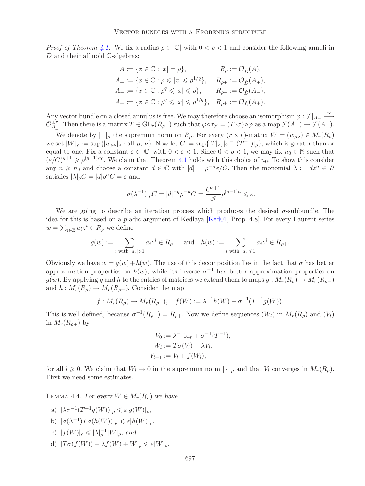*Proof of Theorem [4.1.](#page-7-1)* We fix a radius  $\rho \in |\mathbb{C}|$  with  $0 < \rho < 1$  and consider the following annuli in  $\dot{D}$  and their affinoid C-algebras:

$$
\begin{aligned} A&:=\{x\in\mathbb{C}:|x|=\rho\}, &\qquad R_\rho:=\mathcal{O}_D(A),\\ A_+&:=\{x\in\mathbb{C}:\rho\leqslant|x|\leqslant\rho^{1/q}\}, &\qquad R_{\rho+}:=\mathcal{O}_D(A_+),\\ A_-&:=\{x\in\mathbb{C}:\rho^q\leqslant|x|\leqslant\rho\}, &\qquad R_{\rho-}:=\mathcal{O}_D(A_-),\\ A_\pm&:=\{x\in\mathbb{C}:\rho^q\leqslant|x|\leqslant\rho^{1/q}\}, &\quad R_{\rho\pm}:=\mathcal{O}_D(A_\pm). \end{aligned}
$$

Any vector bundle on a closed annulus is free. We may therefore choose an isomorphism  $\varphi : \mathcal{F}|_{A_{\pm}} \longrightarrow$  $\mathcal{O}_{A_{\pm}}^{\oplus r}$ . Then there is a matrix  $T \in GL_r(R_{\rho-})$  such that  $\varphi \circ \tau_{\mathcal{F}} = (T \cdot \sigma) \circ \varphi$  as a map  $\mathcal{F}(A_+) \to \mathcal{F}(A_-)$ .

We denote by  $|\cdot|_{\rho}$  the supremum norm on  $R_{\rho}$ . For every  $(r \times r)$ -matrix  $W = (w_{\mu\nu}) \in M_r(R_{\rho})$ we set  $|W|_{\rho} := \sup\{|w_{\mu\nu}|_{\rho} : \text{all } \mu, \nu\}$ . Now let  $C := \sup\{|T|_{\rho}, |\sigma^{-1}(T^{-1})|_{\rho}\}$ , which is greater than or equal to one. Fix a constant  $\varepsilon \in |\mathbb{C}|$  with  $0 < \varepsilon < 1$ . Since  $0 < \rho < 1$ , we may fix  $n_0 \in \mathbb{N}$  such that  $(\varepsilon/C)^{q+1} \geqslant \rho^{(q-1)n_0}$ . We claim that Theorem [4.1](#page-7-1) holds with this choice of  $n_0$ . To show this consider any  $n \geq n_0$  and choose a constant  $d \in \mathbb{C}$  with  $|d| = \rho^{-n} \varepsilon / C$ . Then the monomial  $\lambda := dz^n \in R$ satisfies  $|\lambda|_pC = |d|_p^nC = \varepsilon$  and

$$
|\sigma(\lambda^{-1})|_{\rho}C = |d|^{-q}\rho^{-n}C = \frac{C^{q+1}}{\varepsilon^q}\rho^{(q-1)n} \leqslant \varepsilon.
$$

We are going to describe an iteration process which produces the desired σ-subbundle. The idea for this is based on a p-adic argument of Kedlaya [\[Ked01,](#page-26-4) Prop. 4.8]. For every Laurent series  $w = \sum_{i \in \mathbb{Z}} a_i z^i \in R_\rho$  we define

$$
g(w):=\sum_{i\text{ with }|a_i|>1}a_iz^i\in R_{\rho-}\quad\text{and}\quad h(w):=\sum_{i\text{ with }|a_i|\leqslant 1}a_iz^i\in R_{\rho+}.
$$

Obviously we have  $w = q(w) + h(w)$ . The use of this decomposition lies in the fact that  $\sigma$  has better approximation properties on  $h(w)$ , while its inverse  $\sigma^{-1}$  has better approximation properties on  $g(w)$ . By applying g and h to the entries of matrices we extend them to maps  $g: M_r(R_o) \to M_r(R_{o-})$ and  $h: M_r(R_o) \to M_r(R_{o+})$ . Consider the map

$$
f: M_r(R_\rho) \to M_r(R_{\rho+}), \quad f(W) := \lambda^{-1}h(W) - \sigma^{-1}(T^{-1}g(W)).
$$

This is well defined, because  $\sigma^{-1}(R_{\rho-}) = R_{\rho+}$ . Now we define sequences  $(W_l)$  in  $M_r(R_{\rho})$  and  $(V_l)$ in  $M_r(R_{\rho+})$  by

$$
V_0 := \lambda^{-1} \mathrm{Id}_r + \sigma^{-1} (T^{-1}),
$$
  
\n
$$
W_l := T \sigma(V_l) - \lambda V_l,
$$
  
\n
$$
V_{l+1} := V_l + f(W_l),
$$

<span id="page-8-0"></span>for all  $l \geq 0$ . We claim that  $W_l \to 0$  in the supremum norm  $|\cdot|_\rho$  and that  $V_l$  converges in  $M_r(R_\rho)$ . First we need some estimates.

LEMMA 4.4. *For every*  $W \in M_r(R_o)$  *we have* 

a) 
$$
|\lambda \sigma^{-1}(T^{-1}g(W))|_{\rho} \leq \varepsilon |g(W)|_{\rho},
$$

- b)  $|\sigma(\lambda^{-1})T\sigma(h(W))|_{\rho} \leq \varepsilon |h(W)|_{\rho}$ ,
- c)  $|f(W)|_{\rho} \leqslant |\lambda|_{\rho}^{-1}|W|_{\rho}$ , and
- d)  $|T\sigma(f(W)) \lambda f(W) + W|_{\rho} \leq \varepsilon |W|_{\rho}$ .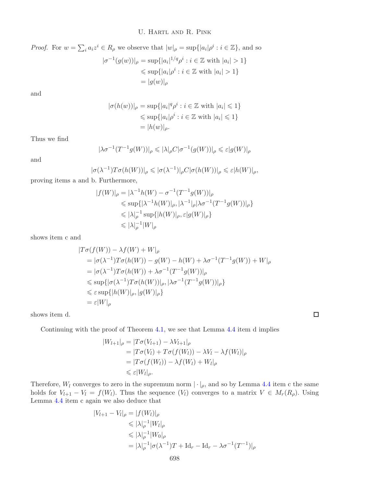U. Hartl and R. Pink

*Proof.* For 
$$
w = \sum_i a_i z^i \in R_\rho
$$
 we observe that  $|w|_\rho = \sup\{|a_i|\rho^i : i \in \mathbb{Z}\}\)$ , and so  
\n
$$
|\sigma^{-1}(g(w))|_\rho = \sup\{|a_i|^{1/q} \rho^i : i \in \mathbb{Z} \text{ with } |a_i| > 1\}
$$
\n
$$
\leq \sup\{|a_i|\rho^i : i \in \mathbb{Z} \text{ with } |a_i| > 1\}
$$
\n
$$
= |g(w)|_\rho
$$

and

$$
|\sigma(h(w))|_{\rho} = \sup\{|a_i|^q \rho^i : i \in \mathbb{Z} \text{ with } |a_i| \leq 1\}
$$
  
\$\leq\$ sup{ $|a_i| \rho^i : i \in \mathbb{Z} \text{ with } |a_i| \leq 1$ }  

$$
= |h(w)|_{\rho}.
$$

Thus we find

$$
|\lambda \sigma^{-1}(T^{-1}g(W))|_{\rho} \leqslant |\lambda|_{\rho} C |\sigma^{-1}(g(W))|_{\rho} \leqslant \varepsilon |g(W)|_{\rho}
$$

and

$$
|\sigma(\lambda^{-1})T\sigma(h(W))|_{\rho} \leqslant |\sigma(\lambda^{-1})|_{\rho}C|\sigma(h(W))|_{\rho} \leqslant \varepsilon |h(W)|_{\rho},
$$

proving items a and b. Furthermore,

$$
|f(W)|_{\rho} = |\lambda^{-1}h(W) - \sigma^{-1}(T^{-1}g(W))|_{\rho}
$$
  
\$\leq\$ sup{|\lambda^{-1}h(W)|\_{\rho}, |\lambda^{-1}|\_{\rho}|\lambda\sigma^{-1}(T^{-1}g(W))|\_{\rho}\$}  
\$\leqslant \lambda|\_{\rho}^{-1}\sup\{|h(W)|\_{\rho}, \varepsilon|g(W)|\_{\rho}\}  
\$\leqslant \lambda|\_{\rho}^{-1}|W|\_{\rho}\$

shows item c and

$$
|T\sigma(f(W)) - \lambda f(W) + W|_{\rho}
$$
  
=  $|\sigma(\lambda^{-1})T\sigma(h(W)) - g(W) - h(W) + \lambda \sigma^{-1}(T^{-1}g(W)) + W|_{\rho}$   
=  $|\sigma(\lambda^{-1})T\sigma(h(W)) + \lambda \sigma^{-1}(T^{-1}g(W))|_{\rho}$   
 $\leq \sup\{|\sigma(\lambda^{-1})T\sigma(h(W))|_{\rho}, |\lambda \sigma^{-1}(T^{-1}g(W))|_{\rho}\}$   
 $\leq \varepsilon \sup\{|h(W)|_{\rho}, |g(W)|_{\rho}\}$   
=  $\varepsilon|W|_{\rho}$ 

shows item d.

Continuing with the proof of Theorem [4.1,](#page-7-1) we see that Lemma [4.4](#page-8-0) item d implies

$$
|W_{l+1}|_{\rho} = |T\sigma(V_{l+1}) - \lambda V_{l+1}|_{\rho}
$$
  
=  $|T\sigma(V_l) + T\sigma(f(W_l)) - \lambda V_l - \lambda f(W_l)|_{\rho}$   
=  $|T\sigma(f(W_l)) - \lambda f(W_l) + W_l|_{\rho}$   
 $\leq \varepsilon |W_l|_{\rho}.$ 

Therefore,  $W_l$  converges to zero in the supremum norm  $|\cdot|_\rho$ , and so by Lemma [4.4](#page-8-0) item c the same holds for  $V_{l+1} - V_l = f(W_l)$ . Thus the sequence  $(V_l)$  converges to a matrix  $V \in M_r(R_\rho)$ . Using Lemma [4.4](#page-8-0) item c again we also deduce that

$$
|V_{l+1} - V_l|_{\rho} = |f(W_l)|_{\rho}
$$
  
\n
$$
\leq |\lambda|_{\rho}^{-1} |W_l|_{\rho}
$$
  
\n
$$
\leq |\lambda|_{\rho}^{-1} |W_0|_{\rho}
$$
  
\n
$$
= |\lambda|_{\rho}^{-1} |\sigma(\lambda^{-1})T + \mathrm{Id}_r - \mathrm{Id}_r - \lambda \sigma^{-1} (T^{-1})|_{\rho}
$$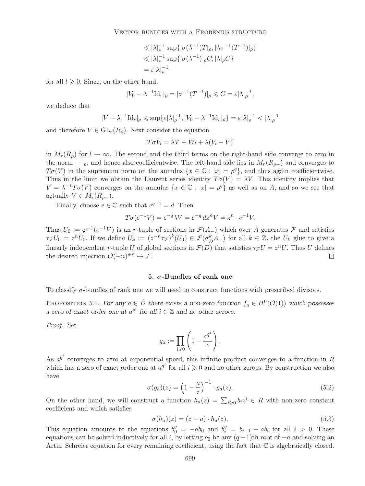$$
\leqslant |\lambda|_{\rho}^{-1} \sup \{ |\sigma(\lambda^{-1})T|_{\rho}, |\lambda \sigma^{-1}(T^{-1})|_{\rho} \}
$$
  

$$
\leqslant |\lambda|_{\rho}^{-1} \sup \{ |\sigma(\lambda^{-1})|_{\rho} C, |\lambda|_{\rho} C \}
$$
  

$$
= \varepsilon |\lambda|_{\rho}^{-1}
$$

for all  $l \geqslant 0$ . Since, on the other hand,

$$
|V_0-\lambda^{-1} \text{Id}_r|_\rho=|\sigma^{-1}(T^{-1})|_\rho\leqslant C=\varepsilon |\lambda|_\rho^{-1},
$$

we deduce that

$$
|V-\lambda^{-1}\text{Id}_r|_\rho\leqslant \sup\{\varepsilon|\lambda|_\rho^{-1},|V_0-\lambda^{-1}\text{Id}_r|_\rho\}=\varepsilon|\lambda|_\rho^{-1}<|\lambda|_\rho^{-1}
$$

and therefore  $V \in GL_r(R_\rho)$ . Next consider the equation

$$
T\sigma V_l = \lambda V + W_l + \lambda (V_l - V)
$$

in  $M_r(R_\rho)$  for  $l \to \infty$ . The second and the third terms on the right-hand side converge to zero in the norm  $|\cdot|_p$ ; and hence also coefficientwise. The left-hand side lies in  $M_r(R_{p-})$  and converges to  $T\sigma(V)$  in the supremum norm on the annulus  $\{x \in \mathbb{C} : |x| = \rho^q\}$ , and thus again coefficientwise. Thus in the limit we obtain the Laurent series identity  $T\sigma(V) = \lambda V$ . This identity implies that  $V = \lambda^{-1}T\sigma(V)$  converges on the annulus  $\{x \in \mathbb{C} : |x| = \rho^q\}$  as well as on A; and so we see that actually  $V \in M_r(R_{\rho-})$ .

Finally, choose  $e \in \mathbb{C}$  such that  $e^{q-1} = d$ . Then

$$
T\sigma(e^{-1}V) = e^{-q}\lambda V = e^{-q} dz^n V = z^n \cdot e^{-1}V.
$$

Thus  $U_0 := \varphi^{-1}(e^{-1}V)$  is an r-tuple of sections in  $\mathcal{F}(A_-)$  which over A generates  $\mathcal F$  and satisfies  $\tau_{\mathcal{F}}U_0 = z^n U_0$ . If we define  $U_k := (z^{-n}\tau_{\mathcal{F}})^k(U_0) \in \mathcal{F}(\sigma_{\mathcal{D}}^k A_-)$  for all  $k \in \mathbb{Z}$ , the  $U_k$  glue to give a linearly independent r-tuple U of global sections in  $\mathcal{F}(D)$  that satisfies  $\tau_{\mathcal{F}}U = z^nU$ . Thus U defines the desired injection  $\mathcal{O}(-n)^{\oplus r} \hookrightarrow \mathcal{F}$ . the desired injection  $\mathcal{O}(-n)^{\oplus r} \hookrightarrow \mathcal{F}$ .

#### **5.** *σ***-Bundles of rank one**

<span id="page-10-0"></span>To classify  $\sigma$ -bundles of rank one we will need to construct functions with prescribed divisors.

PROPOSITION 5.1. *For any*  $a \in \dot{D}$  *there exists a non-zero function*  $f_a \in H^0(\mathcal{O}(1))$  *which possesses a zero of exact order one at*  $a^{q^i}$  *for all*  $i \in \mathbb{Z}$  *and no other zeroes.* 

*Proof.* Set

$$
g_a := \prod_{i \geqslant 0} \left( 1 - \frac{a^{q^i}}{z} \right).
$$

<span id="page-10-2"></span>As  $a^{q^i}$  converges to zero at exponential speed, this infinite product converges to a function in R which has a zero of exact order one at  $a^{q^i}$  for all  $i \geqslant 0$  and no other zeroes. By construction we also have

$$
\sigma(g_a)(z) = \left(1 - \frac{a}{z}\right)^{-1} \cdot g_a(z). \tag{5.2}
$$

<span id="page-10-1"></span>On the other hand, we will construct a function  $h_a(z) = \sum_{i\geqslant 0} b_i z^i \in R$  with non-zero constant coefficient and which satisfies

$$
\sigma(h_a)(z) = (z - a) \cdot h_a(z). \tag{5.3}
$$

This equation amounts to the equations  $b_0^q = -ab_0$  and  $b_i^q = b_{i-1} - ab_i$  for all  $i > 0$ . These equations can be solved inductively for all i, by letting  $b_0$  be any  $(q-1)$ th root of  $-a$  and solving an Artin–Schreier equation for every remaining coefficient, using the fact that  $\mathbb C$  is algebraically closed.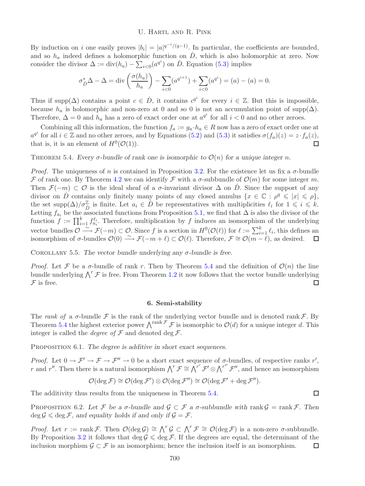#### U. Hartl and R. Pink

By induction on i one easily proves  $|b_i| = |a|^{q^{-i}/(q-1)}$ . In particular, the coefficients are bounded, and so  $h_a$  indeed defines a holomorphic function on  $\dot{D}$ , which is also holomorphic at zero. Now consider the divisor  $\Delta := \text{div}(h_a) - \sum_{i<0}^{\mathfrak{t}} (a^{q^i})$  on  $\dot{D}$ . Equation [\(5.3\)](#page-10-1) implies

$$
\sigma_{\dot{D}}^* \Delta - \Delta = \text{div}\left(\frac{\sigma(h_a)}{h_a}\right) - \sum_{i < 0} (a^{q^{i+1}}) + \sum_{i < 0} (a^{q^i}) = (a) - (a) = 0.
$$

Thus if supp( $\Delta$ ) contains a point  $c \in \dot{D}$ , it contains  $c^{q^i}$  for every  $i \in \mathbb{Z}$ . But this is impossible, because  $h_a$  is holomorphic and non-zero at 0 and so 0 is not an accumulation point of supp( $\Delta$ ). Therefore,  $\Delta = 0$  and  $h_a$  has a zero of exact order one at  $a^{q^i}$  for all  $i < 0$  and no other zeroes.

Combining all this information, the function  $f_a := g_a \cdot h_a \in R$  now has a zero of exact order one at  $a^{q^i}$  for all  $i \in \mathbb{Z}$  and no other zeroes, and by Equations [\(5.2\)](#page-10-2) and [\(5.3\)](#page-10-1) it satisfies  $\sigma(f_a)(z) = z \cdot f_a(z)$ , that is, it is an element of  $H^0(\mathcal{O}(1))$ .  $\Box$ 

<span id="page-11-0"></span>THEOREM 5.4. *Every*  $\sigma$ -bundle of rank one is isomorphic to  $\mathcal{O}(n)$  for a unique integer n.

*Proof.* The uniqueness of n is contained in Proposition [3.2.](#page-5-1) For the existence let us fix a  $\sigma$ -bundle F of rank one. By Theorem [4.2](#page-7-2) we can identify F with a  $\sigma$ -subbundle of  $\mathcal{O}(m)$  for some integer m. Then  $\mathcal{F}(-m) \subset \mathcal{O}$  is the ideal sheaf of a  $\sigma$ -invariant divisor  $\Delta$  on D. Since the support of any divisor on  $\dot{D}$  contains only finitely many points of any closed annulus  $\{x \in \mathbb{C} : \rho^q \leq |x| \leq \rho\},\$ the set supp $(\Delta)/\sigma_{\tilde{D}}^{\mathbb{Z}}$  is finite. Let  $a_i \in \tilde{D}$  be representatives with multiplicities  $\ell_i$  for  $1 \leqslant i \leqslant k$ . Letting  $f_{a_i}$  be the associated functions from Proposition [5.1,](#page-10-0) we find that  $\Delta$  is also the divisor of the function  $f := \prod_{i=1}^k f_{a_i}^{\ell_i}$ . Therefore, multiplication by f induces an isomorphism of the underlying vector bundles  $\mathcal{O} \longrightarrow \mathcal{F}(-m) \subset \mathcal{O}$ . Since f is a section in  $H^0(\mathcal{O}(\ell))$  for  $\ell := \sum_{i=1}^k \ell_i$ , this defines an isomorphism of  $\sigma$ -bundles  $\mathcal{O}(0) \stackrel{\sim}{\longrightarrow} \mathcal{F}(-m+\ell) \subset \mathcal{O}(\ell)$ . Therefore,  $\mathcal{F} \cong \mathcal{O}(m-\ell)$ , as desired.

Corollary 5.5. *The vector bundle underlying any* σ*-bundle is free.*

*Proof.* Let F be a  $\sigma$ -bundle of rank r. Then by Theorem [5.4](#page-11-0) and the definition of  $\mathcal{O}(n)$  the line bundle underlying  $\bigwedge^r \mathcal{F}$  is free. From Theorem [1.2](#page-2-1) it now follows that the vector bundle underlying  ${\mathcal F}$  is free.  $\Box$ 

### **6. Semi-stability**

The *rank of* a  $\sigma$ -bundle  $\mathcal F$  is the rank of the underlying vector bundle and is denoted rank  $\mathcal F$ . By Theorem [5.4](#page-11-0) the highest exterior power  $\Lambda^{\text{rank}\mathcal{F}}$  F is isomorphic to  $\mathcal{O}(d)$  for a unique integer d. This integer is called the *degree of*  $\mathcal F$  and denoted deg  $\mathcal F$ .

<span id="page-11-2"></span>PROPOSITION 6.1. *The degree is additive in short exact sequences.* 

*Proof.* Let  $0 \to \mathcal{F}' \to \mathcal{F} \to \mathcal{F}'' \to 0$  be a short exact sequence of  $\sigma$ -bundles, of respective ranks r', r and r''. Then there is a natural isomorphism  $\bigwedge^r \mathcal{F} \cong \bigwedge^{r'} \mathcal{F}' \otimes \bigwedge^{r''} \mathcal{F}''$ , and hence an isomorphism

$$
\mathcal{O}(\deg \mathcal{F}) \cong \mathcal{O}(\deg \mathcal{F}') \otimes \mathcal{O}(\deg \mathcal{F}'') \cong \mathcal{O}(\deg \mathcal{F}' + \deg \mathcal{F}'').
$$

<span id="page-11-1"></span>The additivity thus results from the uniqueness in Theorem [5.4.](#page-11-0)

PROPOSITION 6.2. Let F be a  $\sigma$ -bundle and  $\mathcal{G} \subset \mathcal{F}$  a  $\sigma$ -subbundle with rank  $\mathcal{G} = \text{rank } \mathcal{F}$ . Then  $\deg \mathcal{G} \leq \deg \mathcal{F}$ , and equality holds if and only if  $\mathcal{G} = \mathcal{F}$ .

*Proof.* Let  $r := \text{rank } \mathcal{F}$ . Then  $\mathcal{O}(\deg \mathcal{G}) \cong \bigwedge^r \mathcal{G} \subset \bigwedge^r \mathcal{F} \cong \mathcal{O}(\deg \mathcal{F})$  is a non-zero  $\sigma$ -subbundle. By Proposition [3.2](#page-5-1) it follows that  $\deg \mathcal{G} \leq \deg \mathcal{F}$ . If the degrees are equal, the determinant of the inclusion morphism  $\mathcal{G} \subset \mathcal{F}$  is an isomorphism; hence the inclusion itself is an isomorphism.  $\Box$ 

```
\Box
```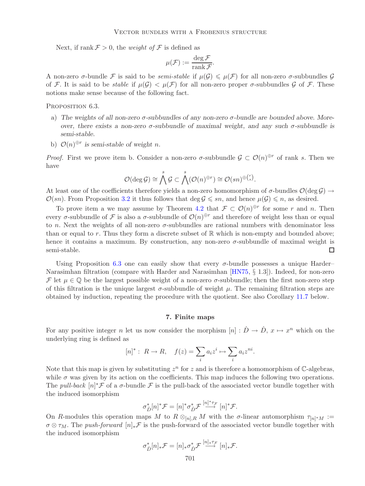Next, if rank  $\mathcal{F} > 0$ , the *weight of*  $\mathcal{F}$  is defined as

$$
\mu(\mathcal{F}) := \frac{\deg \mathcal{F}}{\operatorname{rank} \mathcal{F}}.
$$

A non-zero *σ*-bundle F is said to be *semi-stable* if  $\mu(G) \leq \mu(F)$  for all non-zero *σ*-subbundles G of F. It is said to be *stable* if  $\mu(G) < \mu(F)$  for all non-zero proper  $\sigma$ -subbundles G of F. These notions make sense because of the following fact.

<span id="page-12-0"></span>PROPOSITION 6.3.

- a) *The weights of all non-zero* σ*-subbundles of any non-zero* σ*-bundle are bounded above. Moreover, there exists a non-zero* σ*-subbundle of maximal weight, and any such* σ*-subbundle is semi-stable.*
- b)  $\mathcal{O}(n)^{\oplus r}$  *is semi-stable of weight n.*

*Proof.* First we prove item b. Consider a non-zero  $\sigma$ -subbundle  $\mathcal{G} \subset \mathcal{O}(n)^{\oplus r}$  of rank s. Then we have

$$
\mathcal{O}(\deg \mathcal{G}) \cong \bigwedge^s \mathcal{G} \subset \bigwedge^s(\mathcal{O}(n)^{\oplus r}) \cong \mathcal{O}(sn)^{\oplus {r \choose s}}.
$$

At least one of the coefficients therefore yields a non-zero homomorphism of  $\sigma$ -bundles  $\mathcal{O}(\deg G) \to$  $\mathcal{O}(sn)$ . From Proposition [3.2](#page-5-1) it thus follows that deg  $\mathcal{G} \leqslant sn$ , and hence  $\mu(\mathcal{G}) \leqslant n$ , as desired.

To prove item a we may assume by Theorem [4.2](#page-7-2) that  $\mathcal{F} \subset \mathcal{O}(n)^{\oplus r}$  for some r and n. Then every  $\sigma$ -subbundle of  $\mathcal F$  is also a  $\sigma$ -subbundle of  $\mathcal O(n)^{\oplus r}$  and therefore of weight less than or equal to n. Next the weights of all non-zero  $\sigma$ -subbundles are rational numbers with denominator less than or equal to r. Thus they form a discrete subset of  $\mathbb R$  which is non-empty and bounded above; hence it contains a maximum. By construction, any non-zero  $\sigma$ -subbundle of maximal weight is semi-stable.  $\Box$ 

Using Proposition [6.3](#page-12-0) one can easily show that every  $\sigma$ -bundle possesses a unique Harder– Narasimhan filtration (compare with Harder and Narasimhan [\[HN75,](#page-26-13) § 1.3]). Indeed, for non-zero F let  $\mu \in \mathbb{Q}$  be the largest possible weight of a non-zero  $\sigma$ -subbundle; then the first non-zero step of this filtration is the unique largest  $\sigma$ -subbundle of weight  $\mu$ . The remaining filtration steps are obtained by induction, repeating the procedure with the quotient. See also Corollary [11.7](#page-26-14) below.

## **7. Finite maps**

For any positive integer n let us now consider the morphism  $[n]: \dot{D} \to \dot{D}$ ,  $x \mapsto x^n$  which on the underlying ring is defined as

$$
[n]^* : R \to R, \quad f(z) = \sum_i a_i z^i \mapsto \sum_i a_i z^{ni}.
$$

Note that this map is given by substituting  $z^n$  for z and is therefore a homomorphism of C-algebras, while  $\sigma$  was given by its action on the coefficients. This map induces the following two operations. The *pull-back*  $[n]^* \mathcal{F}$  of a  $\sigma$ -bundle  $\mathcal{F}$  is the pull-back of the associated vector bundle together with the induced isomorphism

$$
\sigma_{\dot{D}}^*[n]^* \mathcal{F} = [n]^* \sigma_{\dot{D}}^* \mathcal{F} \stackrel{[n]^* \tau_{\mathcal{F}}}{\longrightarrow} [n]^* \mathcal{F}.
$$

On R-modules this operation maps M to  $R \otimes_{nR} M$  with the  $\sigma$ -linear automorphism  $\tau_{n}$  := σ ⊗ τM. The *push-forward* [n]∗F is the push-forward of the associated vector bundle together with the induced isomorphism

$$
\sigma_{\dot{D}}^*[n]_*\mathcal{F} = [n]_*\sigma_{\dot{D}}^*\mathcal{F} \stackrel{[n]_*\tau_{\mathcal{F}}}{\longrightarrow} [n]_*\mathcal{F}.
$$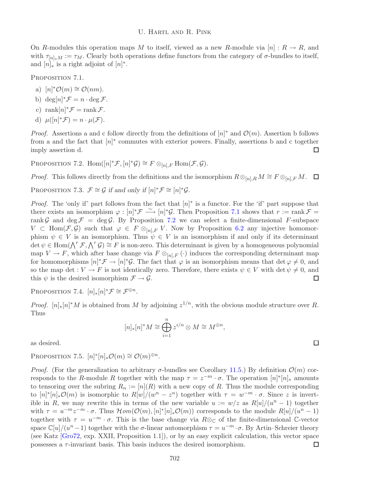On R-modules this operation maps M to itself, viewed as a new R-module via  $[n]: R \to R$ , and with  $\tau_{[n]*M} := \tau_M$ . Clearly both operations define functors from the category of  $\sigma$ -bundles to itself, and  $[n]_*$  is a right adjoint of  $[n]^*$ .

<span id="page-13-0"></span>PROPOSITION 7.1.

- a)  $[n]^* \mathcal{O}(m) \cong \mathcal{O}(nm)$ .
- b)  $\deg[n]^* \mathcal{F} = n \cdot \deg \mathcal{F}$ .
- c)  $\text{rank}[n]^* \mathcal{F} = \text{rank } \mathcal{F}.$
- d)  $\mu([n]^*\mathcal{F}) = n \cdot \mu(\mathcal{F}).$

*Proof.* Assertions a and c follow directly from the definitions of  $[n]^*$  and  $\mathcal{O}(m)$ . Assertion b follows from a and the fact that  $[n]^*$  commutes with exterior powers. Finally, assertions b and c together imply assertion d.  $\Box$ 

<span id="page-13-1"></span>PROPOSITION 7.2.  $\text{Hom}([n]^*\mathcal{F}, [n]^*\mathcal{G}) \cong F \otimes_{[n], F} \text{Hom}(\mathcal{F}, \mathcal{G})$ .

<span id="page-13-4"></span>*Proof.* This follows directly from the definitions and the isomorphism  $R \otimes_{[n],R} M \cong F \otimes_{[n],F} M$ .  $\Box$ 

PROPOSITION 7.3.  $\mathcal{F} \cong \mathcal{G}$  if and only if  $[n]^* \mathcal{F} \cong [n]^* \mathcal{G}$ .

*Proof.* The 'only if' part follows from the fact that  $[n]^*$  is a functor. For the 'if' part suppose that there exists an isomorphism  $\varphi : [n]^* \mathcal{F} \longrightarrow [n]^* \mathcal{G}$ . Then Proposition [7.1](#page-13-0) shows that  $r := \text{rank } \mathcal{F} =$ rank G and deg  $\mathcal{F} = \deg \mathcal{G}$ . By Proposition [7.2](#page-13-1) we can select a finite-dimensional F-subspace  $V \subset \text{Hom}(\mathcal{F}, \mathcal{G})$  such that  $\varphi \in F \otimes_{[n], F} V$ . Now by Proposition [6.2](#page-11-1) any injective homomorphism  $\psi \in V$  is an isomorphism. Thus  $\psi \in V$  is an isomorphism if and only if its determinant det  $\psi \in \text{Hom}(\bigwedge^r \mathcal{F}, \bigwedge^r \mathcal{G}) \cong F$  is non-zero. This determinant is given by a homogeneous polynomial map  $V \to F$ , which after base change via  $F \otimes_{[n],F} (\cdot)$  induces the corresponding determinant map for homomorphisms  $[n]^* \mathcal{F} \to [n]^* \mathcal{G}$ . The fact that  $\varphi$  is an isomorphism means that  $\det \varphi \neq 0$ , and so the map det :  $V \to F$  is not identically zero. Therefore, there exists  $\psi \in V$  with det  $\psi \neq 0$ , and this  $\psi$  is the desired isomorphism  $\mathcal{F} \to \mathcal{G}$ .  $\Box$ 

<span id="page-13-5"></span>PROPOSITION 7.4.  $[n]_*[n]^* \mathcal{F} \cong \mathcal{F}^{\oplus n}$ .

*Proof.*  $[n]_*[n]^*M$  is obtained from M by adjoining  $z^{1/n}$ , with the obvious module structure over R. Thus

$$
[n]_*[n]^*M \cong \bigoplus_{i=1}^n z^{i/n} \otimes M \cong M^{\oplus n},
$$

<span id="page-13-2"></span>as desired.

PROPOSITION 7.5.  $[n]^*[n]_*\mathcal{O}(m) \cong \mathcal{O}(m)^{\oplus n}$ .

<span id="page-13-3"></span>*Proof.* (For the generalization to arbitrary  $\sigma$ -bundles see Corollary [11.5.](#page-25-1)) By definition  $\mathcal{O}(m)$  corresponds to the R-module R together with the map  $\tau = z^{-m} \cdot \sigma$ . The operation  $[n]^*[n]_*$  amounts to tensoring over the subring  $R_n := [n](R)$  with a new copy of R. Thus the module corresponding to  $[n]^*[n]_*\mathcal{O}(m)$  is isomorphic to  $R[w]/(w^n - z^n)$  together with  $\tau = w^{-m} \cdot \sigma$ . Since z is invertible in R, we may rewrite this in terms of the new variable  $u := w/z$  as  $R[u]/(u<sup>n</sup> - 1)$  together with  $\tau = u^{-m}z^{-m} \cdot \sigma$ . Thus  $\mathcal{H}om(\mathcal{O}(m), [n]^*[n]_*\mathcal{O}(m))$  corresponds to the module  $R[u]/(u^n - 1)$ together with  $\tau = u^{-m} \cdot \sigma$ . This is the base change via  $R \otimes_{\mathbb{C}}$  of the finite-dimensional C-vector space  $\mathbb{C}[u]/(u^{n}-1)$  together with the  $\sigma$ -linear automorphism  $\tau = u^{-m} \cdot \sigma$ . By Artin–Schreier theory (see Katz [\[Gro72,](#page-26-15) exp. XXII, Proposition 1.1]), or by an easy explicit calculation, this vector space possesses a  $\tau$ -invariant basis. This basis induces the desired isomorphism.  $\Box$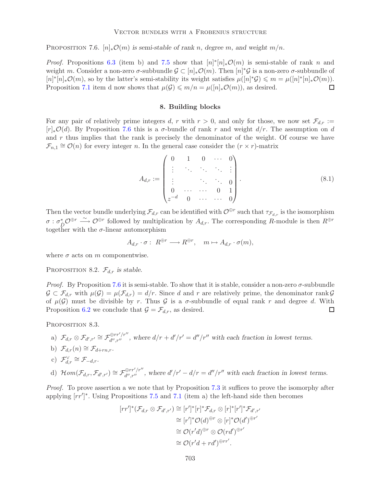PROPOSITION 7.6.  $[n]_{*}\mathcal{O}(m)$  is semi-stable of rank n, degree m, and weight  $m/n$ .

*Proof.* Propositions [6.3](#page-12-0) (item b) and [7.5](#page-13-2) show that  $[n]^*[n]_*\mathcal{O}(m)$  is semi-stable of rank n and weight m. Consider a non-zero  $\sigma$ -subbundle  $\mathcal{G} \subset [n]_* \mathcal{O}(m)$ . Then  $[n]^* \mathcal{G}$  is a non-zero  $\sigma$ -subbundle of  $[n]^*[n]_*\mathcal{O}(m)$ , so by the latter's semi-stability its weight satisfies  $\mu([n]^*\mathcal{G}) \leq m = \mu([n]^*[n]_*\mathcal{O}(m))$ . Proposition [7.1](#page-13-0) item d now shows that  $\mu(\mathcal{G}) \leq m/n = \mu([n], \mathcal{O}(m))$ , as desired.

#### <span id="page-14-1"></span>**8. Building blocks**

For any pair of relatively prime integers d, r with  $r > 0$ , and only for those, we now set  $\mathcal{F}_{d,r} :=$  $[r]_*\mathcal{O}(d)$ . By Proposition [7.6](#page-13-3) this is a  $\sigma$ -bundle of rank r and weight  $d/r$ . The assumption on d and  $r$  thus implies that the rank is precisely the denominator of the weight. Of course we have  $\mathcal{F}_{n,1} \cong \mathcal{O}(n)$  for every integer n. In the general case consider the  $(r \times r)$ -matrix

$$
A_{d,r} := \begin{pmatrix} 0 & 1 & 0 & \cdots & 0 \\ \vdots & \ddots & \ddots & \ddots & \vdots \\ \vdots & & \ddots & \ddots & 0 \\ 0 & \cdots & \cdots & 0 & 1 \\ z^{-d} & 0 & \cdots & \cdots & 0 \end{pmatrix} .
$$
 (8.1)

Then the vector bundle underlying  $\mathcal{F}_{d,r}$  can be identified with  $\mathcal{O}^{\oplus r}$  such that  $\tau_{\mathcal{F}_{d,r}}$  is the isomorphism  $\sigma : \sigma_D^* \mathcal{O}^{\oplus r} \longrightarrow \mathcal{O}^{\oplus r}$  followed by multiplication by  $A_{d,r}$ . The corresponding R-module is then  $R^{\oplus r}$ together with the  $\sigma$ -linear automorphism

$$
A_{d,r} \cdot \sigma: R^{\oplus r} \longrightarrow R^{\oplus r}, \quad m \mapsto A_{d,r} \cdot \sigma(m),
$$

<span id="page-14-2"></span>where  $\sigma$  acts on m componentwise.

PROPOSITION 8.2.  $\mathcal{F}_{d,r}$  *is stable.* 

*Proof.* By Proposition [7.6](#page-13-3) it is semi-stable. To show that it is stable, consider a non-zero  $\sigma$ -subbundle  $\mathcal{G} \subset \mathcal{F}_{d,r}$  with  $\mu(\mathcal{G}) = \mu(\mathcal{F}_{d,r}) = d/r$ . Since d and r are relatively prime, the denominator rank  $\mathcal{G}$ of  $\mu(\mathcal{G})$  must be divisible by r. Thus  $\mathcal{G}$  is a  $\sigma$ -subbundle of equal rank r and degree d. With Proposition [6.2](#page-11-1) we conclude that  $\mathcal{G} = \mathcal{F}_{d,r}$ , as desired.  $\Box$ 

<span id="page-14-0"></span>PROPOSITION 8.3.

a) 
$$
\mathcal{F}_{d,r} \otimes \mathcal{F}_{d',r'} \cong \mathcal{F}_{d'',r''}^{\oplus rr'/r''}
$$
, where  $d/r + d'/r' = d''/r''$  with each fraction in lowest terms.  
b)  $\mathcal{F}_{d,r}(n) \cong \mathcal{F}_{d+rn,r}$ .

$$
\sum_{i=1}^{n} a_i r^{(i)} = \sum_{i=1}^{n} a_i + r n
$$

c) 
$$
\mathcal{F}_{d,r}^{\vee} \cong \mathcal{F}_{-d,r}.
$$

d) 
$$
\mathcal{H}om(\mathcal{F}_{d,r}, \mathcal{F}_{d',r'}) \cong \mathcal{F}_{d'',r''}^{\oplus rr'/r''}
$$
, where  $d'/r' - d/r = d''/r''$  with each fraction in lowest terms.

*Proof.* To prove assertion a we note that by Proposition [7.3](#page-13-4) it suffices to prove the isomorphy after applying  $[rr']^*$ . Using Propositions [7.5](#page-13-2) and [7.1](#page-13-0) (item a) the left-hand side then becomes

$$
[rr']^*(\mathcal{F}_{d,r} \otimes \mathcal{F}_{d',r'}) \cong [r']^*[r]^*\mathcal{F}_{d,r} \otimes [r]^*[r']^*\mathcal{F}_{d',r'}
$$

$$
\cong [r']^*\mathcal{O}(d)^{\oplus r} \otimes [r]^*\mathcal{O}(d')^{\oplus r'}
$$

$$
\cong \mathcal{O}(r'd)^{\oplus r} \otimes \mathcal{O}(rd')^{\oplus r'}
$$

$$
\cong \mathcal{O}(r'd + rd')^{\oplus rr'}.
$$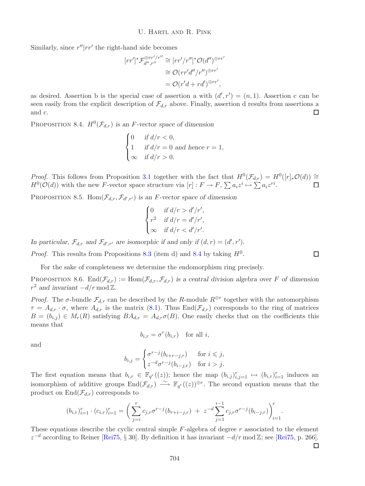Similarly, since  $r''|rr'$  the right-hand side becomes

$$
[rr']^* \mathcal{F}_{d'',r''}^{\oplus rr'/r''} \cong [rr'/r'']^* \mathcal{O}(d'')^{\oplus rr'}
$$

$$
\cong \mathcal{O}(rr'd''/r'')^{\oplus rr'}
$$

$$
= \mathcal{O}(r'd + rd')^{\oplus rr'},
$$

as desired. Assertion b is the special case of assertion a with  $(d', r') = (n, 1)$ . Assertion c can be seen easily from the explicit description of  $\mathcal{F}_{d,r}$  above. Finally, assertion d results from assertions a and c.  $\Box$ 

<span id="page-15-0"></span>PROPOSITION 8.4.  $H^0(\mathcal{F}_{d,r})$  *is an F-vector space of dimension* 

$$
\begin{cases}\n0 & \text{if } d/r < 0, \\
1 & \text{if } d/r = 0 \text{ and hence } r = 1, \\
\infty & \text{if } d/r > 0.\n\end{cases}
$$

*Proof.* This follows from Proposition [3.1](#page-4-1) together with the fact that  $H^0(\mathcal{F}_{d,r}) = H^0([r]_*\mathcal{O}(d)) \cong H^0(\mathcal{O}(d))$  with the new *F*-vector space structure via [r] :  $F \to F$ ,  $\sum a_i z^i \mapsto \sum a_i z^{ri}$ .  $H^0(\mathcal{O}(d))$  with the new F-vector space structure via  $[r]: F \to F$ ,  $\sum a_i z^i \mapsto \sum a_i z^{ri}$ .

<span id="page-15-2"></span>PROPOSITION 8.5. Hom $(\mathcal{F}_{d,r}, \mathcal{F}_{d',r'})$  *is an F-vector space of dimension* 

$$
\begin{cases}\n0 & \text{if } d/r > d'/r', \\
r^2 & \text{if } d/r = d'/r', \\
\infty & \text{if } d/r < d'/r'.\n\end{cases}
$$

In particular,  $\mathcal{F}_{d,r}$  and  $\mathcal{F}_{d',r'}$  are isomorphic if and only if  $(d,r) = (d',r').$ 

*Proof.* This results from Propositions [8.3](#page-14-0) (item d) and [8.4](#page-15-0) by taking  $H^0$ .

For the sake of completeness we determine the endomorphism ring precisely.

PROPOSITION 8.6. End $(\mathcal{F}_{d,r}) := \text{Hom}(\mathcal{F}_{d,r}, \mathcal{F}_{d,r})$  *is a central division algebra over* F of dimension  $r^2$  *and invariant*  $-d/r \mod \mathbb{Z}$ .

*Proof.* The  $\sigma$ -bundle  $\mathcal{F}_{d,r}$  can be described by the R-module  $R^{\oplus r}$  together with the automorphism  $\tau = A_{d,r} \cdot \sigma$ , where  $A_{d,r}$  is the matrix [\(8.1\)](#page-14-1). Thus End( $\mathcal{F}_{d,r}$ ) corresponds to the ring of matrices  $B = (b_{i,j}) \in M_r(R)$  satisfying  $BA_{d,r} = A_{d,r} \sigma(B)$ . One easily checks that on the coefficients this means that

$$
b_{i,r} = \sigma^r(b_{i,r}) \quad \text{for all } i,
$$

and

$$
b_{i,j} = \begin{cases} \sigma^{r-j}(b_{i+r-j,r}) & \text{for } i \leq j, \\ z^{-d} \sigma^{r-j}(b_{i-j,r}) & \text{for } i > j. \end{cases}
$$

The first equation means that  $b_{i,r} \in \mathbb{F}_{q^r}((z))$ ; hence the map  $(b_{i,j})_{i,j=1}^r \mapsto (b_{i,r})_{i=1}^r$  induces an isomorphism of additive groups  $\text{End}(\mathcal{F}_{d,r}) \longrightarrow \mathbb{F}_{q^r}((z))^{\oplus r}$ . The second equation means that the product on  $\text{End}(\mathcal{F}_{d,r})$  corresponds to

$$
(b_{i,r})_{i=1}^r \cdot (c_{i,r})_{i=1}^r = \bigg(\sum_{j=i}^r c_{j,r} \sigma^{r-j}(b_{r+i-j,r}) + z^{-d} \sum_{j=1}^{i-1} c_{j,r} \sigma^{r-j}(b_{i-j,r})\bigg)_{i=1}^r.
$$

<span id="page-15-1"></span>These equations describe the cyclic central simple  $F$ -algebra of degree  $r$  associated to the element  $z^{-d}$  according to Reiner [\[Rei75,](#page-26-16) § 30]. By definition it has invariant  $-d/r \mod \mathbb{Z}$ ; see [Rei75, p. 266].

 $\Box$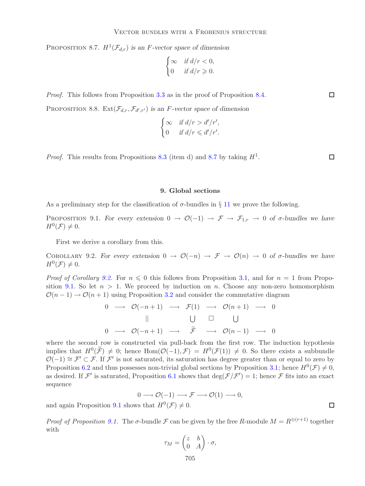PROPOSITION 8.7.  $H^1(\mathcal{F}_{d,r})$  *is an F-vector space of dimension* 

$$
\begin{cases} \infty & \text{if } d/r < 0, \\ 0 & \text{if } d/r \geqslant 0. \end{cases}
$$

<span id="page-16-2"></span>*Proof.* This follows from Proposition [3.3](#page-5-0) as in the proof of Proposition [8.4.](#page-15-0)

PROPOSITION 8.8. Ext $(\mathcal{F}_{d,r}, \mathcal{F}_{d',r'})$  *is an F-vector space of dimension* 

$$
\begin{cases} \infty & \text{if } d/r > d'/r', \\ 0 & \text{if } d/r \leq d'/r'. \end{cases}
$$

*Proof.* This results from Propositions [8.3](#page-14-0) (item d) and [8.7](#page-15-1) by taking  $H^1$ .

#### $\Box$

 $\Box$ 

#### **9. Global sections**

<span id="page-16-0"></span>As a preliminary step for the classification of  $\sigma$ -bundles in § [11](#page-24-1) we prove the following.

PROPOSITION 9.1. For every extension  $0 \to \mathcal{O}(-1) \to \mathcal{F} \to \mathcal{F}_{1,r} \to 0$  of  $\sigma$ -bundles we have  $H^0(\mathcal{F}) \neq 0.$ 

First we derive a corollary from this.

<span id="page-16-1"></span>COROLLARY 9.2. For every extension  $0 \to \mathcal{O}(-n) \to \mathcal{F} \to \mathcal{O}(n) \to 0$  of  $\sigma$ -bundles we have  $H^0(\mathcal{F}) \neq 0.$ 

*Proof of Corollary* [9.2.](#page-16-1) For  $n \leq 0$  this follows from Proposition [3.1,](#page-4-1) and for  $n = 1$  from Propo-sition [9.1.](#page-16-0) So let  $n > 1$ . We proceed by induction on n. Choose any non-zero homomorphism  $\mathcal{O}(n-1) \rightarrow \mathcal{O}(n+1)$  using Proposition [3.2](#page-5-1) and consider the commutative diagram

$$
0 \longrightarrow \mathcal{O}(-n+1) \longrightarrow \mathcal{F}(1) \longrightarrow \mathcal{O}(n+1) \longrightarrow 0
$$
  
||   
 
$$
\bigcup \bigcup \bigcup \bigcup
$$
  

$$
0 \longrightarrow \mathcal{O}(-n+1) \longrightarrow \widetilde{\mathcal{F}} \longrightarrow \mathcal{O}(n-1) \longrightarrow 0
$$

where the second row is constructed via pull-back from the first row. The induction hypothesis implies that  $H^0(\widetilde{\mathcal{F}}) \neq 0$ ; hence Hom $(\mathcal{O}(-1), \mathcal{F}) = H^0(\mathcal{F}(1)) \neq 0$ . So there exists a subbundle  $\mathcal{O}(-1) \cong \mathcal{F}' \subset \mathcal{F}$ . If  $\mathcal{F}'$  is not saturated, its saturation has degree greater than or equal to zero by Proposition [6.2](#page-11-1) and thus possesses non-trivial global sections by Proposition [3.1;](#page-4-1) hence  $H^0(\mathcal{F}) \neq 0$ , as desired. If  $\mathcal{F}'$  is saturated, Proposition [6.1](#page-11-2) shows that  $\deg(\mathcal{F}/\mathcal{F}')=1$ ; hence  $\mathcal F$  fits into an exact sequence

$$
0 \longrightarrow \mathcal{O}(-1) \longrightarrow \mathcal{F} \longrightarrow \mathcal{O}(1) \longrightarrow 0,
$$
  
we that  $H^0(\mathcal{F}) \neq 0$ 

and again Proposition [9.1](#page-16-0) shows that  $H^0(\mathcal{F}) \neq 0$ .

*Proof of Proposition* [9.1.](#page-16-0) The  $\sigma$ -bundle  $\mathcal F$  can be given by the free R-module  $M = R^{\oplus (r+1)}$  together with

$$
\tau_M = \begin{pmatrix} z & b \\ 0 & A \end{pmatrix} \cdot \sigma,
$$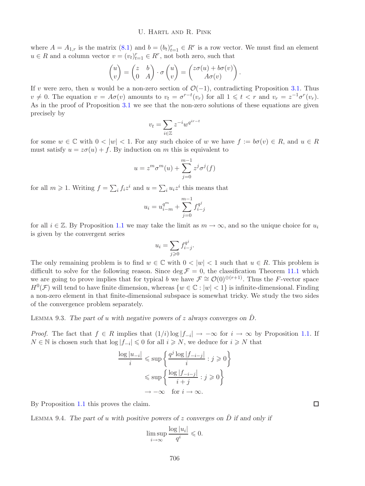where  $A = A_{1,r}$  is the matrix  $(8.1)$  and  $b = (b_t)_{t=1}^r \in R^r$  is a row vector. We must find an element  $u \in R$  and a column vector  $v = (v_t)_{t=1}^r \in R^r$ , not both zero, such that

$$
\begin{pmatrix} u \\ v \end{pmatrix} = \begin{pmatrix} z & b \\ 0 & A \end{pmatrix} \cdot \sigma \begin{pmatrix} u \\ v \end{pmatrix} = \begin{pmatrix} z\sigma(u) + b\sigma(v) \\ A\sigma(v) \end{pmatrix}.
$$

If v were zero, then u would be a non-zero section of  $\mathcal{O}(-1)$ , contradicting Proposition [3.1.](#page-4-1) Thus  $v \neq 0$ . The equation  $v = A\sigma(v)$  amounts to  $v_t = \sigma^{r-t}(v_r)$  for all  $1 \leq t < r$  and  $v_r = z^{-1}\sigma^r(v_r)$ . As in the proof of Proposition [3.1](#page-4-1) we see that the non-zero solutions of these equations are given precisely by

$$
v_t = \sum_{i \in \mathbb{Z}} z^{-i} w^{q^{ir-t}}
$$

for some  $w \in \mathbb{C}$  with  $0 < |w| < 1$ . For any such choice of w we have  $f := b\sigma(v) \in R$ , and  $u \in R$ must satisfy  $u = z\sigma(u) + f$ . By induction on m this is equivalent to

$$
u = zm \sigmam(u) + \sum_{j=0}^{m-1} zj \sigmaj(f)
$$

for all  $m \geq 1$ . Writing  $f = \sum_i f_i z^i$  and  $u = \sum_i u_i z^i$  this means that

$$
u_i = u_{i-m}^{q^m} + \sum_{j=0}^{m-1} f_{i-j}^{q^j}
$$

for all  $i \in \mathbb{Z}$ . By Proposition [1.1](#page-2-0) we may take the limit as  $m \to \infty$ , and so the unique choice for  $u_i$ is given by the convergent series

$$
u_i = \sum_{j \ge 0} f_{i-j}^{q^j}.
$$

The only remaining problem is to find  $w \in \mathbb{C}$  with  $0 < |w| < 1$  such that  $u \in R$ . This problem is difficult to solve for the following reason. Since deg  $\mathcal{F} = 0$ , the classification Theorem [11.1](#page-24-0) which we are going to prove implies that for typical b we have  $\mathcal{F} \cong \mathcal{O}(0)^{\oplus (r+1)}$ . Thus the F-vector space  $H^0(\mathcal{F})$  will tend to have finite dimension, whereas  $\{w \in \mathbb{C} : |w| < 1\}$  is infinite-dimensional. Finding a non-zero element in that finite-dimensional subspace is somewhat tricky. We study the two sides of the convergence problem separately.

LEMMA 9.3. The part of u with negative powers of z always converges on  $\dot{D}$ .

*Proof.* The fact that  $f \in R$  implies that  $(1/i) \log |f_{-i}| \to -\infty$  for  $i \to \infty$  by Proposition [1.1.](#page-2-0) If  $N \in \mathbb{N}$  is chosen such that  $\log |f_{-i}| \leq 0$  for all  $i \geq N$ , we deduce for  $i \geq N$  that

$$
\frac{\log |u_{-i}|}{i} \leqslant \sup \left\{ \frac{q^j \log |f_{-i-j}|}{i} : j \geqslant 0 \right\}
$$

$$
\leqslant \sup \left\{ \frac{\log |f_{-i-j}|}{i+j} : j \geqslant 0 \right\}
$$

$$
\to -\infty \quad \text{for } i \to \infty.
$$

By Proposition [1.1](#page-2-0) this proves the claim.

Lemma 9.4. *The part of* u *with positive powers of* z *converges on* D˙ *if and only if*

$$
\limsup_{i \to \infty} \frac{\log |u_i|}{q^i} \leqslant 0.
$$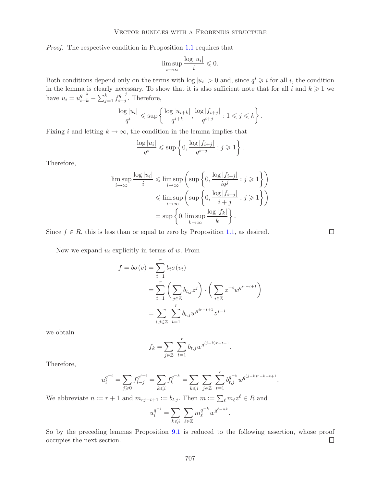*Proof.* The respective condition in Proposition [1.1](#page-2-0) requires that

$$
\limsup_{i \to \infty} \frac{\log |u_i|}{i} \leq 0.
$$

Both conditions depend only on the terms with  $log |u_i| > 0$  and, since  $q^i \geq i$  for all i, the condition in the lemma is clearly necessary. To show that it is also sufficient note that for all i and  $k \geqslant 1$  we have  $u_i = u_{i+k}^{q^{-k}} - \sum_{j=1}^{k} f_{i+j}^{q^{-j}}$ . Therefore,

$$
\frac{\log|u_i|}{q^i} \leqslant \sup\left\{\frac{\log|u_{i+k}|}{q^{i+k}}, \frac{\log|f_{i+j}|}{q^{i+j}} : 1 \leqslant j \leqslant k\right\}.
$$

Fixing i and letting  $k \to \infty$ , the condition in the lemma implies that

$$
\frac{\log|u_i|}{q^i} \leqslant \sup\left\{0, \frac{\log|f_{i+j}|}{q^{i+j}} : j \geqslant 1\right\}.
$$

Therefore,

$$
\limsup_{i \to \infty} \frac{\log |u_i|}{i} \leq \limsup_{i \to \infty} \left( \sup \left\{ 0, \frac{\log |f_{i+j}|}{iq^j} : j \geq 1 \right\} \right)
$$
  

$$
\leq \limsup_{i \to \infty} \left( \sup \left\{ 0, \frac{\log |f_{i+j}|}{i+j} : j \geq 1 \right\} \right)
$$
  

$$
= \sup \left\{ 0, \limsup_{k \to \infty} \frac{\log |f_k|}{k} \right\}.
$$

Since  $f \in R$ , this is less than or equal to zero by Proposition [1.1,](#page-2-0) as desired.

Now we expand  $u_i$  explicitly in terms of  $w$ . From

$$
f = b\sigma(v) = \sum_{t=1}^{r} b_t \sigma(v_t)
$$
  
= 
$$
\sum_{t=1}^{r} \left( \sum_{j \in \mathbb{Z}} b_{t,j} z^j \right) \cdot \left( \sum_{i \in \mathbb{Z}} z^{-i} w^{q^{ir-t+1}} \right)
$$
  
= 
$$
\sum_{i,j \in \mathbb{Z}} \sum_{t=1}^{r} b_{t,j} w^{q^{ir-t+1}} z^{j-i}
$$

we obtain

$$
f_k = \sum_{j \in \mathbb{Z}} \sum_{t=1}^r b_{t,j} w^{q^{(j-k)r-t+1}}.
$$

Therefore,

$$
u_i^{q^{-i}} = \sum_{j\geqslant 0} f_{i-j}^{q^{j-i}} = \sum_{k\leqslant i} f_k^{q^{-k}} = \sum_{k\leqslant i} \sum_{j\in \mathbb{Z}} \sum_{t=1}^r b_{t,j}^{q^{-k}} w^{q^{(j-k)r-k-t+1}}.
$$

We abbreviate  $n := r + 1$  and  $m_{rj-t+1} := b_{t,j}$ . Then  $m := \sum_{\ell} m_{\ell} z^{\ell} \in R$  and

$$
u_i^{q^{-i}} = \sum_{k \leqslant i} \sum_{\ell \in \mathbb{Z}} m_{\ell}^{q^{-k}} w^{q^{\ell - nk}}.
$$

<span id="page-18-0"></span>So by the preceding lemmas Proposition [9.1](#page-16-0) is reduced to the following assertion, whose proof occupies the next section.  $\Box$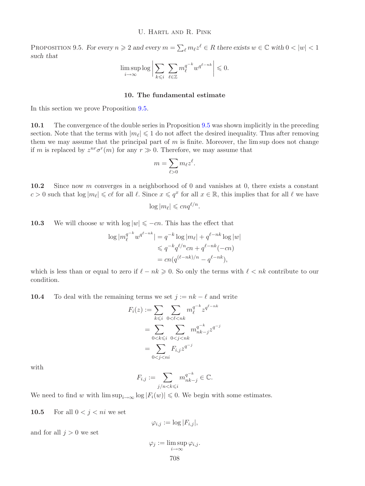PROPOSITION 9.5. For every  $n \geq 2$  and every  $m = \sum_{\ell} m_{\ell} z^{\ell} \in R$  there exists  $w \in \mathbb{C}$  with  $0 < |w| < 1$ *such that*

$$
\limsup_{i \to \infty} \log \left| \sum_{k \leq i} \sum_{\ell \in \mathbb{Z}} m_{\ell}^{q^{-k}} w^{q^{\ell - nk}} \right| \leq 0.
$$

# **10. The fundamental estimate**

In this section we prove Proposition [9.5.](#page-18-0)

**10.1** The convergence of the double series in Proposition [9.5](#page-18-0) was shown implicitly in the preceding section. Note that the terms with  $|m_{\ell}| \leq 1$  do not affect the desired inequality. Thus after removing them we may assume that the principal part of  $m$  is finite. Moreover, the lim sup does not change if m is replaced by  $z^{nr}\sigma^{r}(m)$  for any  $r \gg 0$ . Therefore, we may assume that

$$
m = \sum_{\ell > 0} m_{\ell} z^{\ell}.
$$

<span id="page-19-0"></span>**10.2** Since now m converges in a neighborhood of 0 and vanishes at 0, there exists a constant  $c > 0$  such that  $\log |m_\ell| \leqslant c\ell$  for all  $\ell$ . Since  $x \leqslant q^x$  for all  $x \in \mathbb{R}$ , this implies that for all  $\ell$  we have  $\log |m_{\ell}| \leqslant c nq^{\ell/n}.$ 

**10.3** We will choose w with  $\log |w| \leq -cn$ . This has the effect that

$$
\log |m_{\ell}^{q^{-k}} w^{q^{\ell - nk}}| = q^{-k} \log |m_{\ell}| + q^{\ell - nk} \log |w|
$$
  

$$
\leq q^{-k} q^{\ell/n} c n + q^{\ell - nk} (-c n)
$$
  

$$
= c n (q^{(\ell - nk)/n} - q^{\ell - nk}),
$$

which is less than or equal to zero if  $\ell - nk \geqslant 0$ . So only the terms with  $\ell < nk$  contribute to our condition.

**10.4** To deal with the remaining terms we set  $j := nk - \ell$  and write

$$
F_i(z) := \sum_{k \leq i} \sum_{0 < \ell < nk} m_{\ell}^{q^{-k}} z^{q^{\ell - nk}}
$$
\n
$$
= \sum_{0 < k \leq i} \sum_{0 < j < nk} m_{nk-j}^{q^{-k}} z^{q^{-j}}
$$
\n
$$
= \sum_{0 < j < ni} F_{i,j} z^{q^{-j}}
$$

with

$$
F_{i,j} := \sum_{j/n < k \leq i} m_{nk-j}^{q^{-k}} \in \mathbb{C}.
$$

<span id="page-19-1"></span>We need to find w with  $\limsup_{i\to\infty}$  log  $|F_i(w)| \leq 0$ . We begin with some estimates.

**10.5** For all  $0 < j < ni$  we set

$$
\varphi_{i,j} := \log |F_{i,j}|,
$$

and for all  $j > 0$  we set

$$
\varphi_j := \limsup_{i \to \infty} \varphi_{i,j}.
$$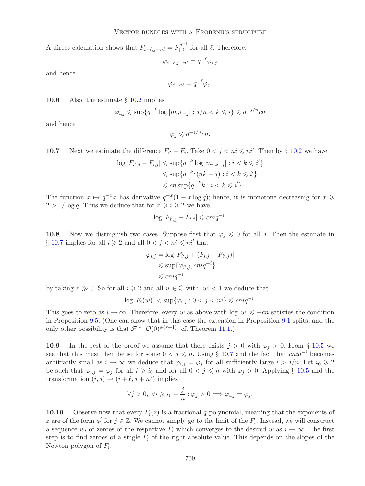A direct calculation shows that  $F_{i+\ell,j+n\ell} = F_{i,j}^{q^{-\ell}}$  for all  $\ell$ . Therefore,

$$
\varphi_{i+\ell,j+n\ell} = q^{-\ell} \varphi_{i,j}
$$

and hence

$$
\varphi_{j+n\ell} = q^{-\ell} \varphi_j.
$$

<span id="page-20-2"></span>**10.6** Also, the estimate § [10.2](#page-19-0) implies

$$
\varphi_{i,j} \leqslant \sup \{ q^{-k} \log |m_{nk-j}| : j/n < k \leqslant i \} \leqslant q^{-j/n}cn
$$

and hence

$$
\varphi_j \leqslant q^{-j/n}cn.
$$

<span id="page-20-0"></span>**10.7** Next we estimate the difference 
$$
F_{i'} - F_i
$$
. Take  $0 < j < ni \leq n^i$ . Then by § 10.2 we have

$$
\log |F_{i',j} - F_{i,j}| \le \sup\{q^{-k}\log |m_{nk-j}| : i < k \le i'\}
$$
\n
$$
\le \sup\{q^{-k}c(nk - j) : i < k \le i'\}
$$
\n
$$
\le c n \sup\{q^{-k}k : i < k \le i'\}.
$$

The function  $x \mapsto q^{-x}x$  has derivative  $q^{-x}(1-x \log q)$ ; hence, it is monotone decreasing for  $x \geq$  $2 > 1/\log q$ . Thus we deduce that for  $i' \geq i \geq 2$  we have

$$
\log |F_{i',j} - F_{i,j}| \leqslant cniq^{-i}.
$$

**10.8** Now we distinguish two cases. Suppose first that  $\varphi_i \leq 0$  for all j. Then the estimate in  $\S$  [10.7](#page-20-0) implies for all  $i \geq 2$  and all  $0 < j < ni \leq ni'$  that

$$
\varphi_{i,j} = \log |F_{i',j} + (F_{i,j} - F_{i',j})|
$$
  
\$\leq \sup\{\varphi\_{i',j}, cniq^{-i}\}\$  
\$\leq cniq^{-i}\$

by taking  $i' \gg 0$ . So for all  $i \geq 2$  and all  $w \in \mathbb{C}$  with  $|w| < 1$  we deduce that

$$
\log |F_i(w)| < \sup \{ \varphi_{i,j} : 0 < j < ni \} \leqslant cniq^{-i}.
$$

This goes to zero as  $i \to \infty$ . Therefore, every w as above with  $\log |w| \leq -cn$  satisfies the condition in Proposition [9.5.](#page-18-0) (One can show that in this case the extension in Proposition [9.1](#page-16-0) splits, and the only other possibility is that  $\mathcal{F} \cong \mathcal{O}(0)^{\oplus (r+1)}$ ; cf. Theorem [11.1.](#page-24-0))

<span id="page-20-1"></span>**10.9** In the rest of the proof we assume that there exists  $j > 0$  with  $\varphi_j > 0$ . From § [10.5](#page-19-1) we see that this must then be so for some  $0 < j \le n$ . Using § [10.7](#page-20-0) and the fact that  $cniq^{-i}$  becomes arbitrarily small as  $i \to \infty$  we deduce that  $\varphi_{i,j} = \varphi_j$  for all sufficiently large  $i > j/n$ . Let  $i_0 \geq 2$ be such that  $\varphi_{i,j} = \varphi_j$  for all  $i \geq i_0$  and for all  $0 < j \leq n$  with  $\varphi_j > 0$ . Applying § [10.5](#page-19-1) and the transformation  $(i, j) \rightarrow (i + \ell, j + n\ell)$  implies

$$
\forall j > 0, \ \forall i \geqslant i_0 + \frac{j}{n} : \varphi_j > 0 \Longrightarrow \varphi_{i,j} = \varphi_j.
$$

**10.10** Observe now that every  $F_i(z)$  is a fractional q-polynomial, meaning that the exponents of z are of the form  $q^j$  for  $j \in \mathbb{Z}$ . We cannot simply go to the limit of the  $F_i$ . Instead, we will construct a sequence  $w_i$  of zeroes of the respective  $F_i$  which converges to the desired w as  $i \to \infty$ . The first step is to find zeroes of a single  $F_i$  of the right absolute value. This depends on the slopes of the Newton polygon of  $F_i$ .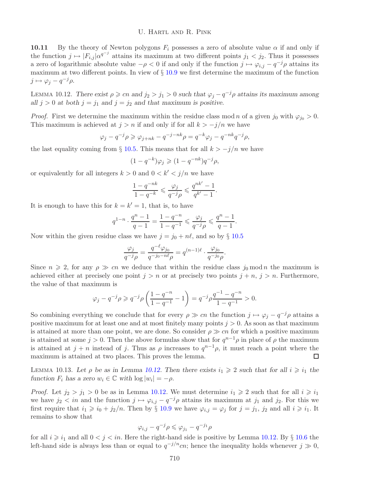# U. Hartl and R. Pink

**10.11** By the theory of Newton polygons  $F_i$  possesses a zero of absolute value  $\alpha$  if and only if the function  $j \mapsto |F_{i,j}| \alpha^{q^{-j}}$  attains its maximum at two different points  $j_1 < j_2$ . Thus it possesses a zero of logarithmic absolute value  $-\rho < 0$  if and only if the function  $j \mapsto \varphi_{i,j} - q^{-j}\rho$  attains its maximum at two different points. In view of § [10.9](#page-20-1) we first determine the maximum of the function  $j \mapsto \varphi_j - q^{-j} \rho.$ 

<span id="page-21-0"></span>LEMMA 10.12. *There exist*  $\rho \geqslant cn$  *and*  $j_2 > j_1 > 0$  *such that*  $\varphi_j - q^{-j}\rho$  *attains its maximum among all*  $j > 0$  *at both*  $j = j_1$  *and*  $j = j_2$  *and that maximum is positive.* 

*Proof.* First we determine the maximum within the residue class mod n of a given  $j_0$  with  $\varphi_{j_0} > 0$ . This maximum is achieved at  $j>n$  if and only if for all  $k > -j/n$  we have

$$
\varphi_j - q^{-j} \rho \geqslant \varphi_{j+nk} - q^{-j-nk} \rho = q^{-k} \varphi_j - q^{-nk} q^{-j} \rho,
$$

the last equality coming from § [10.5.](#page-19-1) This means that for all  $k > -j/n$  we have

$$
(1 - q^{-k})\varphi_j \geqslant (1 - q^{-nk})q^{-j}\rho,
$$

or equivalently for all integers  $k > 0$  and  $0 < k' < j/n$  we have

$$
\frac{1-q^{-nk}}{1-q^{-k}}\leqslant \frac{\varphi_j}{q^{-j}\rho}\leqslant \frac{q^{nk'}-1}{q^{k'}-1}.
$$

It is enough to have this for  $k = k' = 1$ , that is, to have

$$
q^{1-n}\cdot\frac{q^n-1}{q-1}=\frac{1-q^{-n}}{1-q^{-1}}\leqslant\frac{\varphi_j}{q^{-j}\rho}\leqslant\frac{q^n-1}{q-1}.
$$

Now within the given residue class we have  $j = j_0 + n\ell$ , and so by § [10.5](#page-19-1)

$$
\frac{\varphi_j}{q^{-j}\rho} = \frac{q^{-\ell}\varphi_{j_0}}{q^{-j_0 - n\ell}\rho} = q^{(n-1)\ell} \cdot \frac{\varphi_{j_0}}{q^{-j_0}\rho}.
$$

Since  $n \geq 2$ , for any  $\rho \gg cn$  we deduce that within the residue class  $j_0 \mod n$  the maximum is achieved either at precisely one point  $j>n$  or at precisely two points  $j + n$ ,  $j > n$ . Furthermore, the value of that maximum is

$$
\varphi_j - q^{-j} \rho \geqslant q^{-j} \rho \left( \frac{1 - q^{-n}}{1 - q^{-1}} - 1 \right) = q^{-j} \rho \frac{q^{-1} - q^{-n}}{1 - q^{-1}} > 0.
$$

So combining everything we conclude that for every  $\rho \gg cn$  the function  $j \mapsto \varphi_j - q^{-j}\rho$  attains a positive maximum for at least one and at most finitely many points  $j > 0$ . As soon as that maximum is attained at more than one point, we are done. So consider  $\rho \gg cn$  for which a positive maximum is attained at some  $j > 0$ . Then the above formulas show that for  $q^{n-1}\rho$  in place of  $\rho$  the maximum is attained at  $j + n$  instead of j. Thus as  $\rho$  increases to  $q^{n-1}\rho$ , it must reach a point where the maximum is attained at two places. This proves the lemma. п

<span id="page-21-1"></span>LEMMA 10.13. Let  $\rho$  be as in Lemma [10.12.](#page-21-0) Then there exists  $i_1 \geq 2$  such that for all  $i \geq i_1$  the *function*  $F_i$  *has a zero*  $w_i \in \mathbb{C}$  *with*  $\log |w_i| = -\rho$ *.* 

*Proof.* Let  $j_2 > j_1 > 0$  be as in Lemma [10.12.](#page-21-0) We must determine  $i_1 \geq 2$  such that for all  $i \geq i_1$ we have  $j_2 < in$  and the function  $j \mapsto \varphi_{i,j} - q^{-j}\rho$  attains its maximum at  $j_1$  and  $j_2$ . For this we first require that  $i_1 \geq i_0 + j_2/n$ . Then by § [10.9](#page-20-1) we have  $\varphi_{i,j} = \varphi_j$  for  $j = j_1, j_2$  and all  $i \geq i_1$ . It remains to show that

$$
\varphi_{i,j} - q^{-j}\rho \leqslant \varphi_{j_1} - q^{-j_1}\rho
$$

for all  $i \geq i_1$  and all  $0 < j < in$ . Here the right-hand side is positive by Lemma [10.12.](#page-21-0) By  $\S 10.6$  $\S 10.6$  the left-hand side is always less than or equal to  $q^{-j/n}cn$ ; hence the inequality holds whenever  $j \gg 0$ ,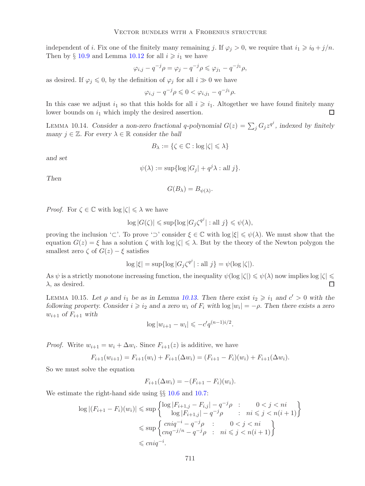independent of *i*. Fix one of the finitely many remaining *j*. If  $\varphi_j > 0$ , we require that  $i_1 \geq i_0 + j/n$ . Then by  $\S 10.9$  $\S 10.9$  and Lemma [10.12](#page-21-0) for all  $i \geq i_1$  we have

$$
\varphi_{i,j}-q^{-j}\rho=\varphi_j-q^{-j}\rho\leqslant \varphi_{j_1}-q^{-j_1}\rho,
$$

as desired. If  $\varphi_i \leq 0$ , by the definition of  $\varphi_i$  for all  $i \gg 0$  we have

$$
\varphi_{i,j}-q^{-j}\rho\leqslant 0<\varphi_{i,j_1}-q^{-j_1}\rho.
$$

In this case we adjust  $i_1$  so that this holds for all  $i \geq i_1$ . Altogether we have found finitely many lower bounds on  $i_1$  which imply the desired assertion. П

<span id="page-22-0"></span>LEMMA 10.14. *Consider a non-zero fractional q-polynomial*  $G(z) = \sum_i G_j z^{q^j}$ , indexed by finitely *many*  $j \in \mathbb{Z}$ *. For every*  $\lambda \in \mathbb{R}$  *consider the ball* 

$$
B_{\lambda} := \{ \zeta \in \mathbb{C} : \log |\zeta| \leqslant \lambda \}
$$

*and set*

$$
\psi(\lambda) := \sup \{ \log |G_j| + q^j \lambda : \text{all } j \}.
$$

*Then*

$$
G(B_{\lambda}) = B_{\psi(\lambda)}.
$$

*Proof.* For  $\zeta \in \mathbb{C}$  with  $\log |\zeta| \leq \lambda$  we have

$$
\log |G(\zeta)| \leq \sup \{ \log |G_j \zeta^{q^j}| : \text{all } j \} \leq \psi(\lambda),
$$

proving the inclusion '⊂'. To prove '⊃' consider  $\xi \in \mathbb{C}$  with  $\log |\xi| \leq \psi(\lambda)$ . We must show that the equation  $G(z) = \xi$  has a solution  $\zeta$  with  $\log |\zeta| \leq \lambda$ . But by the theory of the Newton polygon the smallest zero  $\zeta$  of  $G(z) - \xi$  satisfies

$$
\log |\xi| = \sup \{ \log |G_j \zeta^{q^j}| : \text{all } j \} = \psi(\log |\zeta|).
$$

As  $\psi$  is a strictly monotone increasing function, the inequality  $\psi(\log |\zeta|) \leq \psi(\lambda)$  now implies log  $|\zeta| \leq \zeta$  $\lambda$ , as desired.  $\Box$ 

<span id="page-22-1"></span>LEMMA 10.15. Let  $\rho$  and  $i_1$  be as in Lemma [10.13.](#page-21-1) Then there exist  $i_2 \geq i_1$  and  $c' > 0$  with the *following property. Consider*  $i \geq i_2$  *and a zero*  $w_i$  *of*  $F_i$  *with*  $\log |w_i| = -\rho$ . Then there exists a zero  $w_{i+1}$  *of*  $F_{i+1}$  *with* 

$$
\log |w_{i+1} - w_i| \leqslant -c' q^{(n-1)i/2}.
$$

*Proof.* Write  $w_{i+1} = w_i + \Delta w_i$ . Since  $F_{i+1}(z)$  is additive, we have

$$
F_{i+1}(w_{i+1}) = F_{i+1}(w_i) + F_{i+1}(\Delta w_i) = (F_{i+1} - F_i)(w_i) + F_{i+1}(\Delta w_i).
$$

So we must solve the equation

$$
F_{i+1}(\Delta w_i) = -(F_{i+1} - F_i)(w_i).
$$

We estimate the right-hand side using  $\S$  [10.6](#page-20-2) and [10.7:](#page-20-0)

$$
\log |(F_{i+1} - F_i)(w_i)| \le \sup \left\{ \begin{aligned} & \log |F_{i+1,j} - F_{i,j}| - q^{-j}\rho & : & 0 < j < ni \\ & \log |F_{i+1,j}| - q^{-j}\rho & : & ni \le j < n(i+1) \end{aligned} \right\} \\
& \le \sup \left\{ \begin{aligned} & cniq^{-i} - q^{-j}\rho & : & 0 < j < ni \\ & cnq^{-j/n} - q^{-j}\rho & : & ni \le j < n(i+1) \end{aligned} \right\} \\
& \le cniq^{-i}.\n\end{aligned}
$$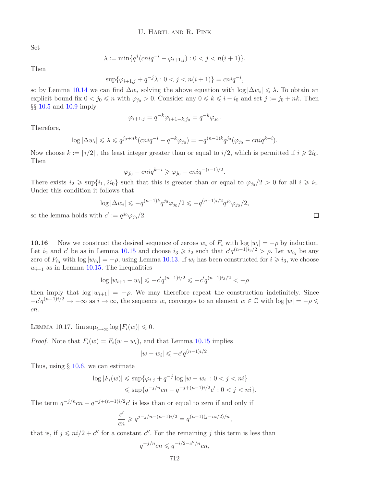Set

$$
\lambda := \min\{q^j(\text{cniq}^{-i} - \varphi_{i+1,j}) : 0 < j < n(i+1)\}.
$$

Then

$$
\sup\{\varphi_{i+1,j} + q^{-j}\lambda : 0 < j < n(i+1)\} = \operatorname{cniq}^{-i},
$$

so by Lemma [10.14](#page-22-0) we can find  $\Delta w_i$  solving the above equation with  $\log |\Delta w_i| \leq \lambda$ . To obtain an explicit bound fix  $0 < j_0 \le n$  with  $\varphi_{j_0} > 0$ . Consider any  $0 \le k \le i - i_0$  and set  $j := j_0 + nk$ . Then §§ [10.5](#page-19-1) and [10.9](#page-20-1) imply

$$
\varphi_{i+1,j} = q^{-k} \varphi_{i+1-k,j_0} = q^{-k} \varphi_{j_0}.
$$

Therefore,

$$
\log |\Delta w_i| \leq \lambda \leq q^{j_0+nk} (cniq^{-i} - q^{-k}\varphi_{j_0}) = -q^{(n-1)k} q^{j_0} (\varphi_{j_0} - cniq^{k-i}).
$$

Now choose  $k := [i/2]$ , the least integer greater than or equal to  $i/2$ , which is permitted if  $i \geq 2i_0$ . Then

$$
\varphi_{j_0} - cniq^{k-i} \geqslant \varphi_{j_0} - cniq^{-(i-1)/2}.
$$

There exists  $i_2 \ge \sup\{i_1, 2i_0\}$  such that this is greater than or equal to  $\varphi_{j_0}/2 > 0$  for all  $i \ge i_2$ . Under this condition it follows that

$$
\log |\Delta w_i| \leqslant -q^{(n-1)k} q^{j_0} \varphi_{j_0}/2 \leqslant -q^{(n-1)i/2} q^{j_0} \varphi_{j_0}/2,
$$
  
with  $c' := q^{j_0} \varphi_{j_0}/2$ .

so the lemma holds w

**10.16** Now we construct the desired sequence of zeroes  $w_i$  of  $F_i$  with  $\log |w_i| = -\rho$  by induction. Let  $i_2$  and c' be as in Lemma [10.15](#page-22-1) and choose  $i_3 \geq i_2$  such that  $c'q^{(n-1)i_3/2} > \rho$ . Let  $w_{i_3}$  be any zero of  $F_{i_3}$  with  $\log |w_{i_3}| = -\rho$ , using Lemma [10.13.](#page-21-1) If  $w_i$  has been constructed for  $i \geq i_3$ , we choose  $w_{i+1}$  as in Lemma [10.15.](#page-22-1) The inequalities

$$
\log |w_{i+1} - w_i| \leqslant -c' q^{(n-1)i/2} \leqslant -c' q^{(n-1)i/2} < -\rho
$$

then imply that  $\log |w_{i+1}| = -\rho$ . We may therefore repeat the construction indefinitely. Since  $-c'q^{(n-1)i/2} \to -\infty$  as  $i \to \infty$ , the sequence  $w_i$  converges to an element  $w \in \mathbb{C}$  with  $\log |w| = -\rho \leq$ cn.

<span id="page-23-0"></span>LEMMA 10.17.  $\limsup_{i\to\infty} \log |F_i(w)| \leq 0.$ 

*Proof.* Note that  $F_i(w) = F_i(w - w_i)$ , and that Lemma [10.15](#page-22-1) implies

$$
|w - w_i| \leqslant -c' q^{(n-1)i/2}.
$$

Thus, using  $\S$  [10.6,](#page-20-2) we can estimate

$$
\log |F_i(w)| \le \sup \{ \varphi_{i,j} + q^{-j} \log |w - w_i| : 0 < j < ni \} \le \sup \{ q^{-j/n}cn - q^{-j+(n-1)i/2}c' : 0 < j < ni \}.
$$

The term  $q^{-j/n}cn - q^{-j+(n-1)i/2}c'$  is less than or equal to zero if and only if

$$
\frac{c'}{cn} \geqslant q^{j-j/n-(n-1)i/2} = q^{(n-1)(j-ni/2)/n},
$$

that is, if  $j \leq n i/2 + c''$  for a constant c''. For the remaining j this term is less than

$$
q^{-j/n}cn \leqslant q^{-i/2 - c''/n}cn,
$$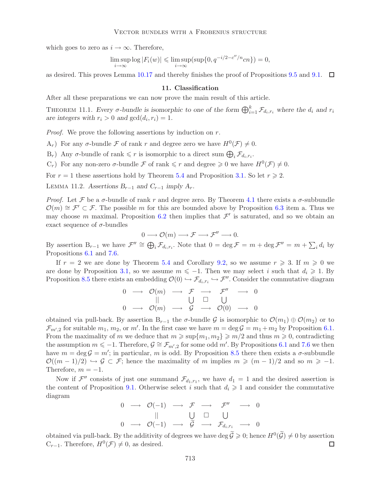which goes to zero as  $i \to \infty$ . Therefore,

$$
\limsup_{i \to \infty} \log |F_i(w)| \le \limsup_{i \to \infty} (\sup \{0, q^{-i/2 - c''/n} cn\}) = 0,
$$

<span id="page-24-1"></span>as desired. This proves Lemma [10.17](#page-23-0) and thereby finishes the proof of Propositions [9.5](#page-18-0) and [9.1.](#page-16-0)  $\Box$ 

#### **11. Classification**

<span id="page-24-0"></span>After all these preparations we can now prove the main result of this article.

THEOREM 11.1. *Every*  $\sigma$ -bundle is isomorphic to one of the form  $\bigoplus_{i=1}^k \mathcal{F}_{d_i,r_i}$  where the  $d_i$  and  $r_i$ *are integers with*  $r_i > 0$  *and*  $gcd(d_i, r_i) = 1$ *.* 

*Proof.* We prove the following assertions by induction on r.

 $A_r$ ) For any  $\sigma$ -bundle F of rank r and degree zero we have  $H^0(\mathcal{F}) \neq 0$ .

 $B_r$ ) Any  $\sigma$ -bundle of rank  $\leq r$  is isomorphic to a direct sum  $\bigoplus_i \mathcal{F}_{d_i,r_i}$ .

 $(C_r)$  For any non-zero  $\sigma$ -bundle  $\mathcal F$  of rank  $\leq r$  and degree  $\geq 0$  we have  $H^0(\mathcal F) \neq 0$ .

For  $r = 1$  these assertions hold by Theorem [5.4](#page-11-0) and Proposition [3.1.](#page-4-1) So let  $r \ge 2$ .

LEMMA 11.2. Assertions  $B_{r-1}$  and  $C_{r-1}$  *imply A<sub>r</sub>*.

*Proof.* Let F be a  $\sigma$ -bundle of rank r and degree zero. By Theorem [4.1](#page-7-1) there exists a  $\sigma$ -subbundle  $\mathcal{O}(m) \cong \mathcal{F}' \subset \mathcal{F}$ . The possible m for this are bounded above by Proposition [6.3](#page-12-0) item a. Thus we may choose m maximal. Proposition [6.2](#page-11-1) then implies that  $\mathcal{F}'$  is saturated, and so we obtain an exact sequence of  $\sigma$ -bundles

$$
0 \longrightarrow \mathcal{O}(m) \longrightarrow \mathcal{F} \longrightarrow \mathcal{F}'' \longrightarrow 0.
$$

By assertion  $B_{r-1}$  we have  $\mathcal{F}'' \cong \bigoplus_i \mathcal{F}_{d_i,r_i}$ . Note that  $0 = \deg \mathcal{F} = m + \deg \mathcal{F}'' = m + \sum_i d_i$  by Propositions [6.1](#page-11-2) and [7.6.](#page-13-3)

If  $r = 2$  we are done by Theorem [5.4](#page-11-0) and Corollary [9.2,](#page-16-1) so we assume  $r \geq 3$ . If  $m \geq 0$  we are done by Proposition [3.1,](#page-4-1) so we assume  $m \le -1$ . Then we may select i such that  $d_i \ge 1$ . By Proposition [8.5](#page-15-2) there exists an embedding  $\mathcal{O}(0) \hookrightarrow \mathcal{F}_{d_i,r_i} \hookrightarrow \mathcal{F}''$ . Consider the commutative diagram

$$
\begin{array}{ccccccc}\n0 & \longrightarrow & \mathcal{O}(m) & \longrightarrow & \mathcal{F} & \longrightarrow & \mathcal{F}'' & \longrightarrow & 0 \\
\parallel & & \cup & \square & & \cup & \\
0 & \longrightarrow & \mathcal{O}(m) & \longrightarrow & \mathcal{G} & \longrightarrow & \mathcal{O}(0) & \longrightarrow & 0\n\end{array}
$$

obtained via pull-back. By assertion  $B_{r-1}$  the  $\sigma$ -bundle  $\mathcal G$  is isomorphic to  $\mathcal O(m_1) \oplus \mathcal O(m_2)$  or to  $\mathcal{F}_{m',2}$  for suitable  $m_1, m_2$ , or m'. In the first case we have  $m = \deg \mathcal{G} = m_1 + m_2$  by Proposition [6.1.](#page-11-2) From the maximality of m we deduce that  $m \geqslant \sup\{m_1, m_2\} \geqslant m/2$  and thus  $m \geqslant 0$ , contradicting the assumption  $m \leq -1$ . Therefore,  $\mathcal{G} \cong \mathcal{F}_{m',2}$  for some odd m'. By Propositions [6.1](#page-11-2) and [7.6](#page-13-3) we then have  $m = \deg \mathcal{G} = m'$ ; in particular, m is odd. By Proposition [8.5](#page-15-2) there then exists a  $\sigma$ -subbundle  $\mathcal{O}((m-1)/2) \hookrightarrow \mathcal{G} \subset \mathcal{F}$ ; hence the maximality of m implies  $m \geqslant (m-1)/2$  and so  $m \geqslant -1$ . Therefore,  $m = -1$ .

Now if  $\mathcal{F}''$  consists of just one summand  $\mathcal{F}_{d_1,r_1}$ , we have  $d_1 = 1$  and the desired assertion is the content of Proposition [9.1.](#page-16-0) Otherwise select i such that  $d_i \geq 1$  and consider the commutative diagram

$$
\begin{array}{ccccccc}\n0 & \longrightarrow & \mathcal{O}(-1) & \longrightarrow & \mathcal{F} & \longrightarrow & \mathcal{F}'' & \longrightarrow & 0 \\
 & & || & & \bigcup & \Box & \bigcup & \\
0 & \longrightarrow & \mathcal{O}(-1) & \longrightarrow & \widetilde{\mathcal{G}} & \longrightarrow & \mathcal{F}_{d_i,r_i} & \longrightarrow & 0\n\end{array}
$$

obtained via pull-back. By the additivity of degrees we have deg  $\tilde{\mathcal{G}} \geq 0$ ; hence  $H^0(\tilde{\mathcal{G}}) \neq 0$  by assertion  $C_{r-1}$ . Therefore,  $H^0(\mathcal{F}) \neq 0$ , as desired.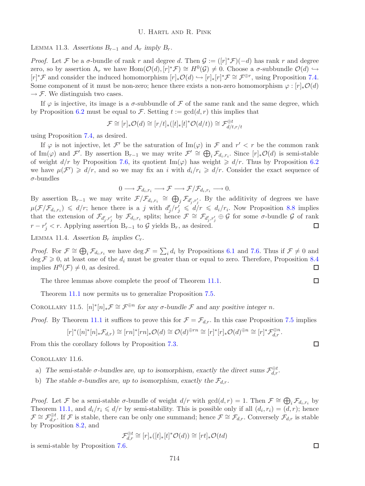LEMMA 11.3. Assertions  $B_{r-1}$  and  $A_r$  *imply*  $B_r$ *.* 

*Proof.* Let F be a  $\sigma$ -bundle of rank r and degree d. Then  $\mathcal{G} := ([r]^* \mathcal{F})(-d)$  has rank r and degree zero, so by assertion  $A_r$  we have  $Hom(O(d), [r]^* \mathcal{F}) \cong H^0(\mathcal{G}) \neq 0$ . Choose a  $\sigma$ -subbundle  $O(d) \hookrightarrow$  $[r]^* \mathcal{F}$  and consider the induced homomorphism  $[r]_* \mathcal{O}(d) \hookrightarrow [r]_* [r]^* \mathcal{F} \cong \mathcal{F}^{\oplus r}$ , using Proposition [7.4.](#page-13-5) Some component of it must be non-zero; hence there exists a non-zero homomorphism  $\varphi : [r], \mathcal{O}(d)$  $\rightarrow$  F. We distinguish two cases.

If  $\varphi$  is injective, its image is a  $\sigma$ -subbundle of  $\mathcal F$  of the same rank and the same degree, which by Proposition [6.2](#page-11-1) must be equal to F. Setting  $t := \gcd(d, r)$  this implies that

$$
\mathcal{F} \cong [r]_* \mathcal{O}(d) \cong [r/t]_*([t]_*[t]^* \mathcal{O}(d/t)) \cong \mathcal{F}_{d/t, r/t}^{\oplus t}
$$

using Proposition [7.4,](#page-13-5) as desired.

If  $\varphi$  is not injective, let F' be the saturation of Im( $\varphi$ ) in F and  $r' < r$  be the common rank of Im( $\varphi$ ) and F'. By assertion B<sub>r−1</sub> we may write  $\mathcal{F}' \cong \bigoplus_i \mathcal{F}_{d_i,r_i}$ . Since  $[r]_*\mathcal{O}(d)$  is semi-stable of weight  $d/r$  by Proposition [7.6,](#page-13-3) its quotient Im( $\varphi$ ) has weight  $\geq d/r$ . Thus by Proposition [6.2](#page-11-1) we have  $\mu(\mathcal{F}') \geq d/r$ , and so we may fix an i with  $d_i/r_i \geq d/r$ . Consider the exact sequence of  $\sigma$ -bundles

$$
0\longrightarrow \mathcal{F}_{d_i,r_i}\longrightarrow \mathcal{F}\longrightarrow \mathcal{F}/\mathcal{F}_{d_i,r_i}\longrightarrow 0.
$$

By assertion  $B_{r-1}$  we may write  $\mathcal{F}/\mathcal{F}_{d_i,r_i} \cong \bigoplus_j \mathcal{F}_{d'_j,r'_j}$ . By the additivity of degrees we have  $\mu(F/\mathcal{F}_{d_i,r_i}) \leq d/r$ ; hence there is a j with  $d'_i/r'_i \leq d/r \leq d_i/r_i$ . Now Proposition [8.8](#page-16-2) implies that the extension of  $\mathcal{F}_{d'_i,r'_i}$  by  $\mathcal{F}_{d_i,r_i}$  splits; hence  $\mathcal{F} \cong \mathcal{F}_{d'_i,r'_i} \oplus \mathcal{G}$  for some  $\sigma$ -bundle  $\mathcal{G}$  of rank  $r - r'_j < r$ . Applying assertion  $B_{r-1}$  to  $\mathcal G$  yields  $B_r$ , as desired.  $\Box$ 

LEMMA 11.4. Assertion  $B_r$  *implies*  $C_r$ .

*Proof.* For  $\mathcal{F} \cong \bigoplus_i \mathcal{F}_{d_i,r_i}$  we have  $\deg \mathcal{F} = \sum_i d_i$  by Propositions [6.1](#page-11-2) and [7.6.](#page-13-3) Thus if  $\mathcal{F} \neq 0$  and  $\deg \mathcal{F} \geqslant 0$ , at least one of the  $d_i$  must be greater than or equal to zero. Therefore, Proposition [8.4](#page-15-0) implies  $H^0(\mathcal{F}) \neq 0$ , as desired.  $\Box$ 

The three lemmas above complete the proof of Theorem [11.1.](#page-24-0)

Theorem [11.1](#page-24-0) now permits us to generalize Proposition [7.5.](#page-13-2)

<span id="page-25-1"></span>COROLLARY 11.5.  $[n]^*[n]_*\mathcal{F} \cong \mathcal{F}^{\oplus n}$  for any  $\sigma$ -bundle  $\mathcal F$  and any positive integer n.

*Proof.* By Theorem [11.1](#page-24-0) it suffices to prove this for  $\mathcal{F} = \mathcal{F}_{d,r}$ . In this case Proposition [7.5](#page-13-2) implies

$$
[r]^*([n]^*[n]_*\mathcal{F}_{d,r})\cong [rn]^*[rn]_*\mathcal{O}(d)\cong \mathcal{O}(d)^{\oplus rn}\cong [r]^*[r]_*\mathcal{O}(d)^{\oplus n}\cong [r]^*\mathcal{F}_{d,r}^{\oplus n}.
$$

<span id="page-25-0"></span>From this the corollary follows by Proposition [7.3.](#page-13-4)

#### Corollary 11.6.

- a) The semi-stable  $\sigma$ -bundles are, up to isomorphism, exactly the direct sums  $\mathcal{F}_{d,r}^{\oplus t}$ .
- b) The stable  $\sigma$ -bundles are, up to isomorphism, exactly the  $\mathcal{F}_{d,r}$ .

*Proof.* Let F be a semi-stable  $\sigma$ -bundle of weight  $d/r$  with  $gcd(d, r) = 1$ . Then  $\mathcal{F} \cong \bigoplus_i \mathcal{F}_{d_i, r_i}$  by Theorem [11.1,](#page-24-0) and  $d_i/r_i \le d/r$  by semi-stability. This is possible only if all  $(d_i, r_i)=(d, r)$ ; hence  $\mathcal{F} \cong \mathcal{F}_{d,r}^{\oplus t}$ . If  $\mathcal{F}$  is stable, there can be only one summand; hence  $\mathcal{F} \cong \mathcal{F}_{d,r}$ . Conversely  $\mathcal{F}_{d,r}$  is stable by Proposition [8.2,](#page-14-2) and

$$
\mathcal{F}_{d,r}^{\oplus t} \cong [r]_*([t]_*[t]^* \mathcal{O}(d)) \cong [rt]_* \mathcal{O}(td)
$$

is semi-stable by Proposition [7.6.](#page-13-3)

 $\Box$ 

 $\Box$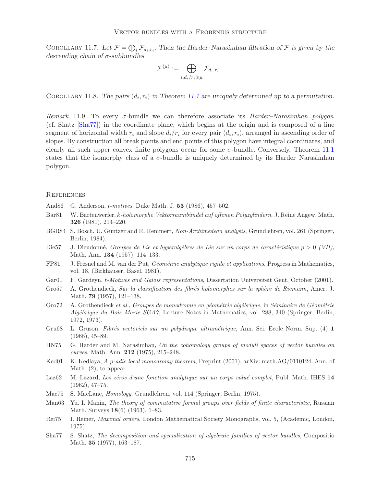<span id="page-26-14"></span>COROLLARY 11.7. Let  $\mathcal{F} = \bigoplus_i \mathcal{F}_{d_i,r_i}$ . Then the Harder–Narasimhan filtration of  $\mathcal{F}$  is given by the *descending chain of* σ*-subbundles*

$$
\mathcal{F}^{(\mu)} := \bigoplus_{i:d_i/r_i \geq \mu} \mathcal{F}_{d_i,r_i}.
$$

<span id="page-26-0"></span>COROLLARY 11.8. The pairs  $(d_i, r_i)$  in Theorem [11.1](#page-24-0) are uniquely determined up to a permutation.

*Remark* 11.9*.* To every σ-bundle we can therefore associate its *Harder–Narasimhan polygon* (cf. Shatz [\[Sha77\]](#page-26-17)) in the coordinate plane, which begins at the origin and is composed of a line segment of horizontal width  $r_i$  and slope  $d_i/r_i$  for every pair  $(d_i, r_i)$ , arranged in ascending order of slopes. By construction all break points and end points of this polygon have integral coordinates, and clearly all such upper convex finite polygons occur for some  $\sigma$ -bundle. Conversely, Theorem [11.1](#page-24-0) states that the isomorphy class of a  $\sigma$ -bundle is uniquely determined by its Harder–Narasimhan polygon.

#### **REFERENCES**

- <span id="page-26-5"></span>And86 G. Anderson, t-*motives*, Duke Math. J. **53** (1986), 457–502.
- <span id="page-26-11"></span>Bar81 W. Bartenwerfer, k*-holomorphe Vektorraumb¨undel auf offenen Polyzylindern*, J. Reine Angew. Math. **326** (1981), 214–220.
- <span id="page-26-9"></span>BGR84 S. Bosch, U. G¨untzer and R. Remmert, *Non-Archimedean analysis*, Grundlehren, vol. 261 (Springer, Berlin, 1984).
- <span id="page-26-1"></span>Die57 J. Dieudonné, *Groupes de Lie et hyperalgèbres de Lie sur un corps de caractéristique*  $p > 0$  *(VII)*, Math. Ann. **134** (1957), 114–133.
- <span id="page-26-8"></span>FP81 J. Fresnel and M. van der Put, *G´eom´etrie analytique rigide et applications*, Progress in Mathematics, vol. 18, (Birkhäuser, Basel, 1981).
- <span id="page-26-6"></span>Gar01 F. Gardeyn, t*-Motives and Galois representations*, Dissertation Universiteit Gent, October (2001).
- <span id="page-26-3"></span>Gro57 A. Grothendieck, *Sur la classification des fibr´es holomorphes sur la sph`ere de Riemann*, Amer. J. Math. **79** (1957), 121–138.
- <span id="page-26-15"></span>Gro72 A. Grothendieck *et al.*, *Groupes de monodromie en g´eom´etrie alg´ebrique*, in *S´eminaire de G´eom´etrie Alg´ebrique du Bois Marie SGA7*, Lecture Notes in Mathematics, vol. 288, 340 (Springer, Berlin, 1972, 1973).
- <span id="page-26-10"></span>Gru68 L. Gruson, *Fibr´es vectoriels sur un polydisque ultram´etrique*, Ann. Sci. Ecole Norm. Sup. (4) **1** (1968), 45–89.
- <span id="page-26-13"></span>HN75 G. Harder and M. Narasimhan, *On the cohomology groups of moduli spaces of vector bundles on curves*, Math. Ann. **212** (1975), 215–248.
- <span id="page-26-4"></span>Ked01 K. Kedlaya, *A* p*-adic local monodromy theorem*, Preprint (2001), arXiv: math.AG/0110124. Ann. of Math. (2), to appear.
- <span id="page-26-7"></span>Laz62 M. Lazard, *Les zéros d'une fonction analytique sur un corps valué complet*, Publ. Math. IHES 14 (1962), 47–75.
- <span id="page-26-12"></span>Mac75 S. MacLane, *Homology*, Grundlehren, vol. 114 (Springer, Berlin, 1975).
- <span id="page-26-2"></span>Man63 Yu. I. Manin, *The theory of commutative formal groups over fields of finite characteristic*, Russian Math. Surveys **18**(6) (1963), 1–83.
- <span id="page-26-16"></span>Rei75 I. Reiner, *Maximal orders*, London Mathematical Society Monographs, vol. 5, (Academic, London, 1975).
- <span id="page-26-17"></span>Sha77 S. Shatz, *The decomposition and specialization of algebraic families of vector bundles*, Compositio Math. **35** (1977), 163–187.